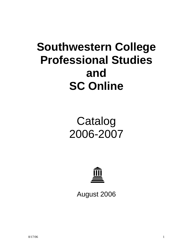# **Southwestern College Professional Studies and SC Online**

# Catalog 2006-2007



August 2006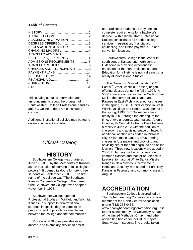## **Table of Contents**

| ACADEMIC INFORMATION 3       |  |
|------------------------------|--|
| DEGREES OFFERED3             |  |
| DECLARATION OF MAJOR 4       |  |
|                              |  |
| ACADEMIC ADVISING 4          |  |
| DEGREE REQUIREMENTS 4        |  |
| ADMISSIONS REQUIREMENTS 5    |  |
|                              |  |
| CHARGES AND FINANCIAL AID 13 |  |
|                              |  |
|                              |  |
|                              |  |
|                              |  |
|                              |  |

This catalog contains information and announcements about the program of Southwestern College Professional Studies and SC Online. It does not constitute a contract.

Additional institutional policies may be found online at www.sckans.edu.

# *Official Catalog*

# **HISTORY**

 Southwestern College was chartered June 19, 1885, by the Methodists of Kansas as "an institution of learning of full collegiate powers." It opened its doors for forty-three students on September 7, 1886. The first name of the college was "The Southwest Kansas Conference College." The name "The Southwestern College" was adopted November 5, 1908.

 Southwestern College opened Professional Studies in Winfield and Wichita, Kansas, to support its non-traditional students in special degree completion programs and to provide a valuable link between the college and the communities.

 Professional Studies provides easy access, and exemplary service to assist non-traditional students as they seek to complete requirements for a bachelor's degree. With full-time staff, Professional Studies consolidates all needed college services - registration, financial aid counseling, and tuition payments - in one convenient location.

 Southwestern College is the leader in south central Kansas and north central Oklahoma in providing excellence in education for the non-traditional student. Education for a lifetime is not a dream but a reality at Professional Studies.

 The Downtown Winfield location (123 East 9<sup>th</sup> Street, Winfield, Kansas) began offering classes during the fall of 1994. A 5000 square foot building in the Cedar Cove Mall at the corner of Rock Road and Pawnee in East Wichita opened for classes in the spring, 1996. A third location in West Wichita at Ridge and Central was opened in the spring, 1998. SC Online became a reality in 2001 through the offering, at that time, of two undergraduate majors. A fourth location, McConnell Air Force Base became a reality in June 2003 with the addition of classrooms and advising space on base. An additional location was added in Midwest City, Oklahoma in January of 05 offering classes in four majors and providing and advising center for both onground and online learners. Three new locations were added in 2006. In January we began offering our common classes and Master of Science in Leadership major at White Sands Missile Range in New Mexico. A certificate in Homeland Security was added at Fort Riley, Kansas in February, and common classes in August.

# **ACCREDITATION**

 Southwestern College is accredited by The Higher Learning Commission and is a member of the North Central Association, phone (312) 263-0456,

www.ncahigherlearningcommission.org. It is further accredited by the University Senate of the United Methodist Church and other accrediting bodies for individual majors. Southwestern students find credits taken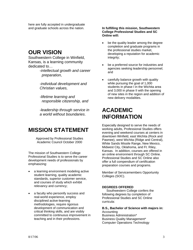here are fully accepted in undergraduate and graduate schools across the nation.

# **OUR VISION**

Southwestern College in Winfield, Kansas, is a learning community dedicated to…

> -*intellectual growth and career preparation,*

*-individual development and Christian values,* 

 *-lifetime learning and responsible citizenship, and* 

*-leadership through service in a world without boundaries*.

# **MISSION STATEMENT**

Approved by Professional Studies Academic Council October 2000

The mission of Southwestern College Professional Studies is to serve the career development needs of professionals by emphasizing:

- a learning environment modeling active student learning, quality academic standards, superior customer service, and courses of study which exhibit relevancy and currency;
- a faculty who personify success and real-world experience, employ disciplined active-learning methodologies, require rigorous development of communication and critical thinking skills, and are visibly committed to continuous improvement in teaching and in their professions.

**In fulfilling this mission, Southwestern College Professional Studies and SC Online will:** 

- be the quality leader among the degree completion and graduate programs in the professional studies market, developing a reputation for academic integrity;
- be a preferred source for industries and agencies seeking leadership personnel; and
- carefully balance growth with quality while pursuing the goal of 1,000 students in phase I in the Wichita area and 3,000 in phase II with the opening of new sites in the region and addition of new delivery modalities.

# **ACADEMIC INFORMATION**

Especially designed to serve the needs of working adults, Professional Studies offers evening and weekend courses at centers in downtown Winfield, east Wichita (Rock and Pawnee), west Wichita (Ridge and Central), White Sands Missile Range, New Mexico, Midwest City, Oklahoma, and Ft. Riley, Kansas. In addition, courses are offered in an online environment through SC Online. Professional Studies and SC Online also offer a full compendium of certification preparation courses and programs.

Member of Servicemembers Opportunity Colleges (SOC).

### **DEGREES OFFERED**

 Southwestern College confers the following degrees by completion of Professional Studies and SC Online curricula:

Computer Operations Technology

**B.S., Bachelor of Science with majors in: Accounting** Business Administration\* Business Quality Management\*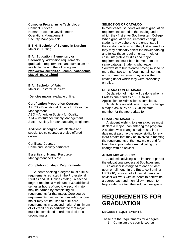Computer Programming Technology\* Criminal Justice\* Human Resource Development\* Operations Management Security Management\*

**B.S.N., Bachelor of Science in Nursing**  Major in Nursing

### **B.A., Education, Elementary or**

**Secondary**: admission requirements, graduation requirements, and curriculum are available through the following link: **http://www.sckans.edu/campus/academic s/acad\_majors.html**

### **B.A., Bachelor of Arts**

Major in Pastoral Studies\*

\*Denotes majors available online.

### **Certification Preparation Courses**

APICS – Educational Society for Resource Management ASQ – American Society for Quality ISM – Institute for Supply Management SME – Society for Manufacturing Engineers

Additional undergraduate elective and special topics courses are also offered online.

Certificate Courses Homeland Security certificate

Essentials of Human Resource Management certificate

### **Completion of Major Requirements**

 Students seeking a degree must fulfill all requirements as listed in the Professional Studies and SC Online catalog. A second degree requires a minimum of 30 additional semester hours of credit. A second major may be earned by completing all requirements for that major. Core course requirements used in the completion of one major may not be used to fulfill core requirements in a second major. A minimum of 21 credit hours particular to that major must be completed in order to declare a second major

### **SELECTION OF CATALOG**

In most cases, students will meet graduation requirements stated in the catalog under which they first enter Southwestern College. When graduation requirements change, students may adhere to the ones listed in the catalog under which they first entered, or they may optionally select the newer catalog and follow those requirements. In either case, integrative studies and major requirements must both be met from the same catalog. Students who leave Southwestern but re-enroll having missed no more than two terms (counting fall, spring, and summer as terms) may follow the catalog under which they were previously enrolled.

### **DECLARATION OF MAJOR**

 Declaration of major will be done when a Professional Studies or SC Online Application for Admission is completed.

 To declare an additional major or change a major, ask a PS or SC Online staff member for the appropriate form.

### **CHANGING MAJORS**

 A student wishing to earn a degree must declare a major upon entering the program. A student who changes majors at a later date must assume the responsibility for any extra credits that may be involved in meeting the requirements of the new major, and for filing the appropriate form indicating the change with an advisor.

### **ACADEMIC ADVISING**

 Academic advising is an important part of the educational process at Southwestern.

 An advisor is assigned to each student upon enrollment. In the Entrance Seminar – HRD 210, required of all new students, an advisor will work with students to determine a degree path and then follow through to help students attain their educational goals.

# **REQUIREMENTS FOR GRADUATION**

### **DEGREE REQUIREMENTS**

These are the requirements for a degree: 1. Complete the specific course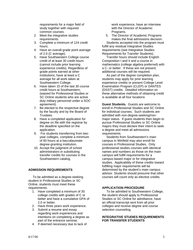requirements for a major field of study together with required common courses.

- 2. Meet the integrative studies requirements.
- 3. Complete a minimum of 124 credit hours.
- 4. Have an overall grade point average of 2.0 (C average).
- 5. Have Southwestern College course credit of at least 30 credit hours (cannot include prior learning experience credits). Regardless of grade points earned at other institutions, have at least a C average for all work taken at Southwestern College.
- 6. Have taken 15 of the last 30 course credit hours at Southwestern, (waived for Professional Studies or SC Online students who are active duty military personnel under a SOC agreement).
- 7. Be elected to the respective degree by the faculty and by the Board of Trustees.
- 8. Have a completed application for degree on file with the registrar by the deadline specified on the application.
- 9. For students transferring from twoyear colleges, complete a minimum of 60 hours at a baccalaureatedegree-granting institution.
- 10. Accept the judgment of school administrators in substituting transfer credits for courses in the Southwestern catalog.

### **ADMISSION REQUIREMENTS**

 To be admitted as a degree-seeking student in Professional Studies or SC Online, students must meet these requirements:

- 1. Have completed a minimum of 30 college credits with grades of C or better and have a cumulative GPA of 2.0 or better.
- 2. Have three years work experience.
- 3. Submit a resume and essay regarding work experiences and intentions on completing a degree as part of the entrance seminar.
- 4. If deemed necessary due to lack of

work experience, have an interview with the Director of Academic Programs.

5. The Director of Academic Programs makes the final admissions decision.

 Students accepted into the program must fulfill any residual Integrative Studies requirements (see Integrative Studies Requirements for Transfer Students).

 Transfer hours should include English Composition I and II and a course in mathematics (college algebra preferred) with a C- or better. If these are not present, additional courses will be required.

 As part of the degree completion plan, students may apply for prior learning experience credits or present College Level Examination Program (CLEP) or DANTES (DSST) credits. Detailed information on these alternative methods of obtaining credit is available at all four locations

**Guest Students.** Guests are welcome to enroll in Professional Studies and SC Online for individual courses. Such students are admitted with non-degree-seeking/nonmajor status. If guest students then begin to pursue Professional Studies or SC Online majors they must declare their intent to seek a degree and meet all admissions requirements.

 Students from Southwestern's main campus in Winfield may also enroll for courses in Professional Studies. Only professional studies courses with identical names and numbers as those on the main campus will fulfill requirements for a campus-based major or for integrative studies. Applicability of these credits toward fulfilling major requirements will be determined by the student's main campus advisor. Students should presume that other courses will count only as elective credits.

### **APPLICATION PROCEDURE**

 To be admitted to Southwestern College, the student should apply to Professional Studies or SC Online for admittance, have an official transcript sent from all prior colleges and receive degree and course selection counseling.

### **INTEGRATIVE STUDIES REQUIREMENTS FOR TRANSFER STUDENTS**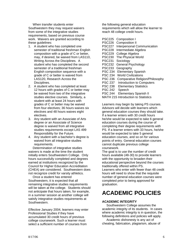When transfer students enter Southwestern they may request waivers from some of the integrative studies requirements, based on previous course work. Waivers are granted according to these quidelines:

- 1. A student who has completed one semester of traditional freshman English composition with a grade of C or better, may, if desired, be waived from LAS110, Writing Across the Disciplines. A student who has completed the second semester of a traditional freshman English composition sequence with a grade of C or better is waived from LAS120, Research Across the Disciplines.
- 2. A student who has completed at least 12 hours with grades of C or better may be waived from two of the integrative studies elective courses. Similarly, a student with at least 24 hours with grades of C or better may be waived from four electives; 36 hours waives six electives and 48 hours waives eight electives.
- 3. Any student with an Associate of Arts degree or an Associate of Science degree is waived from all integrative studies requirements except LAS 499 Responsibility for the Future.
- 4. Any student with a bachelor's degree is waived from all integrative studies requirements.

 Determination of integrative studies waivers is made at the time the student initially enters Southwestern College. Only hours successfully completed and degrees earned at institutions recognized by the Council for Higher Education Accreditation (CHEA) are considered. Southwestern does not recognize credit for varsity athletics.

 Once a student has entered Southwestern, it is expected that all remaining integrative studies requirements will be taken at the college. Students should not anticipate that hours taken, for example, in a summer session at another college will satisfy integrative studies requirements at Southwestern.

Effective January 2004, learners may enter Professional Studies if they have accumulated 30 credit hours of previous college coursework. Such a learner must select a sufficient number of courses from

the following general education requirements which will allow the learner to reach 48 college credit hours.

| <b>PSC225</b>  | Composition I                       |
|----------------|-------------------------------------|
| <b>PSC226</b>  | Composition II                      |
| <b>PSC227</b>  | <b>Interpersonal Communication</b>  |
| <b>PSC228</b>  | Intermediate Algebra                |
| <b>PSC229</b>  | College Algebra                     |
| <b>PSC230</b>  | The Physical World                  |
| <b>PSC231</b>  | Sociology                           |
| <b>PSC232</b>  | <b>General Psychology</b>           |
| <b>PSC233</b>  | Geography                           |
| <b>PSC 234</b> | Elementary Spanish                  |
| <b>PSC 234</b> | <b>World Civilizations</b>          |
| <b>PSC 236</b> | Comparative Religion/Philosophy     |
| <b>PSC 237</b> | Introduction to Computers           |
| <b>PSC 238</b> | <b>Elementary Statistics</b>        |
| <b>PSC 242</b> | Speech                              |
| <b>PSC 244</b> | <b>Elementary Spanish II</b>        |
|                | MATH 215 Introduction to Statistics |

Learners may begin by taking PS courses. Advisors will decide with learners which general education courses they should take. If a learner enters with 30 credit hours he/she would be expected to take 6 general education courses during the course of completing their degree requirements with PS. If a learner enters with 33 hours, he/she would be expected to take 5 general education courses, and so on for various points of entry. General education courses cannot duplicate previous college coursework.

The goal is to use the number of credit hours available (48-30) to provide learners with the opportunity to broaden their educational perspective beyond the courses traditionally offered within PS. Learners who enter with fewer than 48 credit hours will need to show that the requisite number of general education courses were completed prior to being approved for graduation.

# **ACADEMIC POLICIES**

### **ACADEMIC INTEGRITY**

 Southwestern College assumes the academic integrity of its students. In cases where academic integrity is in question, the following definitions and policies will apply.

 Academic dishonesty is any act of cheating, fabrication, plagiarism, abuse of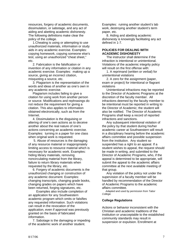resources, forgery of academic documents, dissimulation, or sabotage, and any act of aiding and abetting academic dishonesty. The following definitions make clear the policy of the college.

 1.Cheating is using or attempting to use unauthorized materials, information or study aids in any academic exercise. Examples: copying homework, copying someone else's test, using an unauthorized "cheat sheet," etc.

 2. Fabrication is the falsification or invention of any information or citation in any academic exercise. Examples: making up a source, giving an incorrect citation, misquoting a source, etc.

 3. Plagiarism is the representation of the words and ideas of another as one's own in any academic exercise.

 Plagiarism includes failing to give a citation for using work from another person or source. Modifications and rephrasings do not reduce the requirement for giving a citation. This also applies to information obtained electronically, such as from the Internet.

 4. Dissimulation is the disguising or altering of one's own actions as to deceive another about the real nature of one's actions concerning an academic exercise. Examples: turning in a paper for one class when original work is requested.

 5. Abuse of resources is the damaging of any resource material or inappropriately limiting access to resource material which is necessary for academic work. Examples: hiding library materials, removing noncirculating material from the library, failure to return library materials when requested by the library, etc.

 6. Forgery of academic documents is the unauthorized changing or construction of any academic document. Examples: changing transcripts, changing grade books, changing grades on papers which have been returned, forging signatures, etc.

 Examples also include completion of an application for any Southwestern academic program which omits or falsifies any requested information. Such violations can result in the revocation of the application, even if approval was previously granted on the basis of fabricated information.

 7. Sabotage is the damaging or impeding of the academic work of another student.

Examples: ruining another student's lab work, destroying another student's term paper, etc.

 8. Aiding and abetting academic dishonesty is knowingly facilitating any act defined in 1-7.

### **POLICIES FOR DEALING WITH ACADEMIC DISHONESTY**

 The instructor shall determine if the infraction is intentional or unintentional. Violations of the academic integrity policy will result on the first offense with:

 1. A reprimand (written or verbal) for unintentional violations

 2. A zero for the assignment (paper, exam or project) for intentional or flagrant violations

 Unintentional infractions may be reported to the Director of Academic Programs at the discretion of the faculty member. All infractions deemed by the faculty member to be intentional must be reported in writing to the Director of Academic; the student will also be notified. The Director of Academic Programs shall keep a record of reported infractions and sanctions.

 Any subsequent intentional violation of the policy by that student during his/her academic career at Southwestern will result in a disciplinary hearing before the academic affairs committee and possible suspension from the institution. Any student so suspended has a right to an appeal. If a student wishes to appeal, the request should be made in writing, and submitted to the Director of Academic Programs, who, if the appeal is determined to be appropriate, will submit the appeal to the academic affairs committee at the next available meeting of that group.

 Any violation of the policy not under the supervision of a faculty member will be handled by recommendation of the Director of Academic Programs to the academic affairs committee.

 *Adapted and used by permission from Tabor College.* 

### **College Regulations**

Actions or behavior inconsistent with the Christian and academic traditions of the institution or unacceptable to the established community standards may result in suspension or expulsion. Enrollment at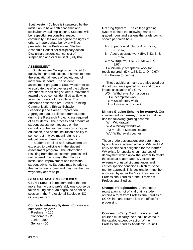Southwestern College is interpreted by the institution to have both academic and social/behavioral implications. Students will be respectful, responsible, respect community rules and recognize the rights of others. Inappropriate behavior will be presented to the Professional Studies Academic Council for disciplinary action. Disciplinary actions can consist of suspension and/or dismissal. (July 06)

### **ASSESSMENT**

 Southwestern College is committed to quality in higher education. It strives to meet the educational needs of society and of individual students. The student assessment program at Southwestern exists to evaluate the effectiveness of the college experience in assisting students' movement toward the outcomes identified as flowing from the mission of the college. The outcomes assessed are: Critical Thinking, Communication, Ethical Behavior, Leadership and Career Preparation. Aggregate data is collected from students during the Research Project class required of all students. The process and product of student assessment focuses on the centrality of the teaching mission of higher education, and on the institution's ability to self-correct in ways meaningful to the educational experience of students.

 Students enrolled at Southwestern are expected to participate in the student assessment program. The information resulting from the assessment process will not be used in any way other than for institutional improvement and individual student advising. Students may be privy to their individual scores and may use them in ways they deem helpful.

#### **GENERAL ACADEMIC POLICIES**

**Course Load.** It is recommended that no more than two and preferably one course be taken during either an onground or online session in the Professional Studies or SC Online program.

#### **Course Numbering System.** Courses are numbered by level:

 Freshman - 100 Sophomore - 200 Junior - 300 Senior - 400

**Grading System**. The college grading system defines the following marks as graded hours and assigns the grade points shown per credit hour.

- $A =$  Superior work (A+ or A, 4 points; A-, 3.67)
- $B =$  Above average work (B+, 3.33; B, 3; B-, 2.67)
- C = Average work (C+, 2.33; C, 2; C-, 1.67)
- $D =$  Minimally acceptable work for

receiving credit (D+, 1.33; D, 1; D-, 0.67)  $F =$  Failure (0 points)

 These additional marks are also used but do not designate graded hours and do not impact calculation of a GPA:

- WD = Withdrawal from a course
	- $I = Incomplete work$
	- S = Satisfactory work
	- U = Unsatisfactory work

**Military Grading Scheme for eArmyU**. Our involvement with eArmyU requires that we use the following grading scheme:

 $W = W$ ithdrawal WM = Military withdrawal FM = Failure Mission Related WV- Withdrawal voucher

These grade designations are determined by a military academic advisor. WM and FM carry no financial obligation for the learner. WV exists for special circumstances of deployment which allow the learner to retake the class at a later date. WV exists for extremely unusual circumstances and carries specific conditions which must be met for approval. This designation must be approved by either the Vice President for Professional Studies or the Director of Professional Studies.

**Change of Registration**. A change of registration is not official until a student obtains a form from Professional Studies or SC Online, and returns it to the office for processing.

**Courses to Carry Credit Indicated**. All courses must carry the credit indicated in the catalog except by action of the Professional Studies Academic Council.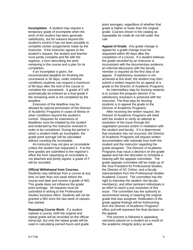**Incompletes**. A student may request a temporary grade of incomplete when the work of the student has been generally satisfactory, but for reasons beyond the student's control it has not been possible to complete certain assignments made by the instructor. If the instructor agrees to the student's request, the student and teacher must jointly complete and file with the registrar, a form describing the work remaining in the course and a plan for its completion.

 If an incomplete is given, the recommended deadline for finishing the coursework is 30 days; under extreme conditions students can request a maximum of 90 days after the end of the course to complete the coursework. A grade of F will automatically be entered as a final grade if the remaining work is not completed by the deadline.

 Extension of the deadline may be allowed by special permission of the Director of Academic Programs in cases of illness or other conditions beyond the student's control. Requests for extensions of deadlines must be initiated by the student and endorsed by the instructor involved in order to be considered. During the period in which a student holds an incomplete, the grade point average will be calculated without counting the incomplete.

 An instructor may not give an incomplete unless the student has requested it. If at the time grades are submitted to the registrar's office the form requesting an incomplete is not attached and jointly signed, a grade of F will be recorded.

#### **Official Withdrawal from Courses**.

Students may withdraw from a course at any time no later than one week before the course end date and receive a grade of WD. This grade does not influence the grade point average. All requests must be submitted in writing to the Professional Studies business office. Students will not be granted a WD once the last week of classes has started.

**Repeating Course Work.** If a student repeats a course, both the original and repeat grade will be recorded on the official transcript, but only the repeat grade will be used in calculating earned hours and grade point averages, regardless of whether that grade is higher or lower than the original grade. Courses shown in the catalog as repeatable for credit do not fall under this rule.

**Appeal of Grade.** Any grade change or appeal for a grade change must be requested within 90 days after the completion of a course. If a student believes the grade recorded by an instructor is inconsistent with the documentary evidence, an informal discussion with the faculty member is required as the first step of an appeal. If satisfactory resolution is not achieved at this level, the student may then submit a written request for an appeal of a grade to the Director of Academic Programs.

 An intermediary step for Nursing students is to contact the program director if no satisfactory resolution is achieved with the instructor. The final step for Nursing students is to appeal the grade to the Director of Academic Programs.

 After receiving the written request, the Director of Academic Programs will meet with the student to verify an attempt at resolution of the issue through the negotiation process and/or in mediation with the student and faculty. If it is determined that resolution has not occurred, the Director of Academic Programs will request written documentation with rationale from both the student and the instructor regarding the grade assigned. The Director of Academic Programs may issue a decision on the grade appeal and has the discretion to schedule a hearing with the appeals committee. The grade appeals committee will be made up of the Vice President for Professional Studies, the Director of SC Online, and a faculty representative from the Professional Studies Academic Council.The committee has the right to interview the student, the faculty member(s), and other pertinent individuals in an effort to reach a just resolution of this issue. The committee has the authority to recommend raising or lowering the original grade that was assigned. Notification of the grade appeal findings will be forthcoming from the Director of Academic Programs' office and will represent the final decision on the appeal.

 This process is followed in appealing sanctions placed on a student as a result of the academic integrity policy as well.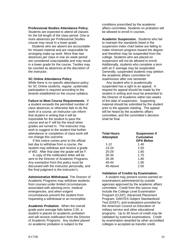**Professional Studies Attendance Policy.** Students are expected to attend all classes for the full length of the class period. One or more absences per Professional Studies course may result in a lower grade.

 Students who are absent are accountable for missed material and are responsible for arranging make-up work. More than two absences per class in one six week period are considered unacceptable and may result in a lower grade for the course. Tardies may be counted as absences at the discretion of the instructor.

### **SC Online Attendance Policy**

While there is no specific attendance policy for SC Online students, regular, systematic participation is required according to the tenents established on the course syllabus.

**Failure to Meet Course Requirements.** If a student exceeds the permitted number of class absences or otherwise fails to do the work of a course, an instructor can inform that student in writing that it will be impossible for the student to pass the course and an F will be the result when grades are turned in. The instructor may wish to suggest to the student that further attendance or completion of class work will not change this outcome.

 If this notice comes prior to the official last day to withdraw from a course, the student may withdraw and receive a grade of WD. After that date the grade will be F.

 A copy of the notification letter will be sent to the Director of Academic Programs. Any exemption from this policy must be discussed with the instructor personally, and the final judgment is the instructor's.

**Administrative Withdrawal**. The Director of Academic Programs may withdraw students from courses under limited circumstances associated with advising error, medical emergencies, and when exigent circumstances prevent the student from requesting a withdrawal or an incomplete.

**Academic Probation**. When the overall grade point average falls below 2.00, a student is placed on academic probation and will receive notification from the Director of Academic Programs. Any student placed on academic probation is subject to the

conditions prescribed by the academic affairs committee. Students on probation will be allowed to enroll in courses.

**Academic Suspension.** Students who fail to maintain the standards listed in the suspension index chart below are failing to make minimum progress toward the degree and therefore may be suspended from the college. Students who are placed on suspension will not be allowed to enroll. Additionally, students who complete a term with an F average may be suspended. Generally, suspended students may petition the academic affairs committee for readmission after one semester.

 Any student who is academically suspended has a right to an appeal. A request for appeal should be made by the student in writing and must be presented to the Director of Academic within two weeks of the date of suspension. Supporting material should be submitted by the student prior to the appeals meeting. The appeal will be heard by the academic affairs committee, and the committee's decision shall be final.

| <b>Suspension if</b><br><b>Cumulative</b><br><b>GPA Below</b> |
|---------------------------------------------------------------|
| 1.40                                                          |
| 1.50                                                          |
| 1.60                                                          |
| 1.70                                                          |
| 1.80                                                          |
| 1.90                                                          |
| 2.00                                                          |
|                                                               |

### **Validation of Credits by Examination.**

A student may present scores earned on examinations administered by outside agencies approved by the academic affairs committee. Credit from this source may include the College Level Examination Program (CLEP), Advanced Placement Program, DANTES Subject Standardized Test (DSST), and evaluations provided by the American Council on Education of military service and other educational programs. Up to 30 hours of credit may be validated by external examinations. Credit by examination awarded by other accredited colleges is accepted as transfer credit.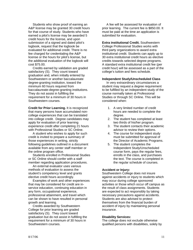Students who show proof of earning an A&P license may be granted 30 credit hours for that course of study. Students who have earned a pilot's license may be awarded 5 credit hours for the license, and upon submission of a signed and dated pilot's logbook, request that the logbook be evaluated for additional credit. There is no fee charged for credentialing the A&P license or the hours for pilot's license, but the additional evaluation of the logbook will cost \$75.00.

 Credits earned by validation are graded satisfactory (S). They count toward graduation and, when initially entered by Southwestern or another baccalaureate degree-granting institution, toward the minimum 60 hours required from baccalaureate-degree-granting institutions. They do not assist in fulfilling the requirement for a minimum of 30 hours in Southwestern courses.

**Credit for Prior Learning.** It is recognized that many persons have accumulated noncollege experiences that can be translated into college credit. Degree candidates may apply for evaluation of prior learning experience credit after completing 21 hours with Professional Studies or SC Online.

 A student who wishes to apply for such credit is invited to prepare a summary of those experiences in writing, strictly following guidelines outlined in a document available from any center staff member or the online program office.

 Students enrolled in Professional Studies or SC Online should confer with a staff member regarding application procedures.

 An external evaluator uses various methods of evaluation to assess the student's competency level and grants elective credit hours accordingly.

 Examples of work and other experiences that may be considered for credit are inservice education, continuing education in any form, occupational experience, professional attainment, and travel which can be shown to have resulted in personal growth and learning.

 Credits awarded by Southwestern College for prior learning are graded satisfactory (S). They count toward graduation but do not assist in fulfilling the requirement for a minimum of 30 hours in Southwestern courses.

 A fee will be assessed for evaluation of prior learning. The current fee is \$850.00. It must be paid at the time an application is submitted for evaluation.

**Extra institutional Credit.** Southwestern College Professional Studies works with third party organizations to award extra institutional credit. Students can apply up to 30 extra institutional credit hours as elective credits towards selected degree programs. A standard extra institutional credit fee (per credit hour) will be assessed as a part of the college's tuition and fees schedule.

### **Independent Study/Unscheduled Class**

 In very extraordinary circumstances a student may request a degree requirement to be fulfilled by an independent study of the course normally taken at Professional Studies or through SC Online. This will be considered when:

- 1. A very limited number of credit hours are needed to complete the degree.
- 2. The student has completed at least two thirds of his/her program.
- 3. The student contacts their academic advisor to review their options.
- 4. The course for independent study must be submitted for approval of the Director of Academic Programs.
- 5. The student completes the Independent Study/Unscheduled course form, pays the regular fees, enrolls in the class, and purchases the text. The course is completed in the regular schedule of courses.

### **Accident or Injury:**

Southwestern College does not insure against accidents or injury to students which may occur during college sponsored activities or those which occur off campus as the result of class assignments. Students are expected to act responsibly by taking necessary precautions against accidents. Students are also advised to protect themselves from the financial burden of accident of injury by maintaining personal insurance.

### **Disability Services:**

The college does not exclude otherwise qualified persons with disabilities, solely by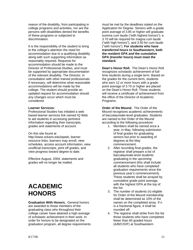reason of the disability, from participating in college programs and activities, nor are the persons with disabilities denied the benefits of these programs or subjected to discrimination.

It is the responsibility of the student to bring to the college's attention the need for accommodation due to a qualifying disability along with such supporting information as reasonably required. Requests for accommodation should be made to the Director of Professional Studies, and must be supported by appropriate documentation of the relevant disability. The Director, in consultation with other trained professionals if necessary, will determine what reasonable accommodations will be made by the college. The student should provide an updated request for accommodation should any changes occur which must be considered.

### **Learner Services:**

Professional Studies has initiated a web based learner services link named IQ Web to aid students in accessing pertinent information regarding their transcripts, grades and statements of account.

### On this site found at

http://www.sckans.edu/iqweb, learner resource links, learners may enroll, view schedules, access account information, view unofficial transcripts, print off grades, and view progress toward degree to date.

Effective August, 2004, statements and grades will no longer be mailed.

# **ACADEMIC HONORS**

**Graduation With Honors.** General honors are awarded to those members of the graduating class who throughout their college career have attained a high average of scholastic achievement in their work. In order for honors to be designated on the graduation program, all degree requirements must be met by the deadlines stated on the Application for Degree. Seniors with a grade point average of 3.85 or higher will graduate summa cum laude ("with highest honors"); a 3.70 will be required for magna cum laude ("with high honors"), and 3.50 for cum laude ("with honors"). **For students who have transferred hours to Southwestern, both the resident GPA** *and* **the cumulative GPA (transfer hours) must meet the standard.**

**Dean's Honor Roll.** The Dean's Honor Roll recognizes scholastic achievement of fulltime students during a single term. Based on the grades for the current term, students who earn 12 or more hours with a gradepoint average of 3.70 or higher are placed on the Dean's Honor Roll. Those students will receive a certificate of achievement from the office of the Director of Academic Programs.

**Order of the Mound.** The Order of the Mound recognizes academic achievements of baccalaureate-level graduates. Students are named to the Order of the Mound according to the following procedure:

- 1. Members shall be named once a year, in May, following submission of final grades for graduating seniors but prior to awarding of degrees at the May commencement.
- 2. After recording final grades, the registrar shall prepare a list of baccalaureate-level students graduating in the upcoming commencement (this shall include all students who have completed graduation requirements since the previous year's commencement). These students shall be arrayed by cumulative grade point average, with the highest GPA at the top of the list.
- 3. The number of students (n) eligible for Order of the Mound membership shall be determined as 10% of the names on the completed array. If n is a fractional figure, it shall be rounded off.
- 4. The registrar shall strike from the list those students who have completed fewer than 60 graded hours (A/B/C/D/F) at Southwestern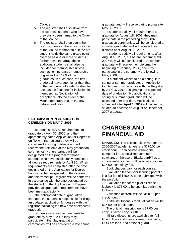College.

- 5. The registrar shall also strike from the list those students who have previously been named to the Order of the Mound.
- 6. The registrar shall then count the first n students in the array for Order of the Mound membership. If the nth student holds the same grade point average as one or more students farther down the array, those additional students shall also be included for membership unless such action increases membership to greater than 12% of the graduates. In such case, the first grade point average higher than that of the tied group of students shall be used as the final one for inclusion in membership. Notification of acceptance into the Order of the Mound generally occurs the day before graduation.

### **PARTICIPATION IN GRADUATION CEREMONY ON MAY 7, 2006**

If students satisfy all requirements to graduate by April 30, 2006, and the appropriately dated Application for Degree is on file with the registrar, they will be considered a spring graduate and will receive their diploma at the May graduation ceremonies. Honors earned will be designated on the program for those students who have satisfactorily completed all degree requirements by April 30. When requirements are completed after the date designated on the Application for Degree, honors will be designated on the diploma and the transcript. Degrees will be conferred in accordance with the date designated by the student on the Application for Degree provided all graduation requirements have been met satisfactorily.

 If the anticipated date of graduation changes, the student is responsible for filing an updated application for degree with the registrar indicating the new date of expected graduation.

 If students satisfy all requirements to graduate by May 6, 2007 they may participate in the May graduation ceremonies, will be considered a late spring graduate, and will receive their diploma after May 30, 2007.

 If students satisfy all requirements to graduate by August 18, 2007, they may participate in the preceding May, 2007 graduation ceremonies, will be considered a summer graduate, and will receive their diploma after August 30, 2007.

 If students satisfy all requirements after August 18, 2007, but before December 30, 2007 they will be considered a December graduate, will receive their diploma the beginning of January, 2008, and may participate in the ceremony the following May, 2008.

 If a student wishes to be a spring, late spring or summer graduate, an Application for Degree must be on file with the Registrar by **April 1, 2007** designating the expected date of graduation. No applications for spring or summer graduation will be accepted after that date. Applications submitted after **April 1, 2007** will cause the student to become an August or December, 2007 graduate.

# **CHARGES AND FINANCIAL AID**

**CHARGES:** The current tuition rate for the 2006-2007 academic years is \$276.00 per credit hour. Each course utilizing the computer lab, specialized computer software, or the use of Blackboard™ as a course enhancement will carry an additional \$25.00 technology fee.

Book charges vary for each course.

 Evaluation fee for prior learning portfolio is a flat fee of \$850.00 to be submitted with the portfolio.

 Evaluation fee for the pilot's license logbook is \$75.00 to be submitted with the logbook.

 Validation of credit will be \$100.00 per credit hour.

 Extra institutional credit validation will be \$35.00 per credit hour.

 The official transcript fee is \$7.00 per copy. A faxed copy is \$10.00.

 Military discounts are available for full time military and their spouses, reservists, DOD civilians, and national guard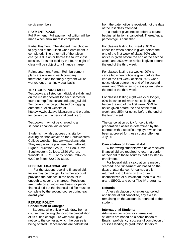### servicemembers.

### **PAYMENT PLANS**

Full Payment: Full payment of tuition will be made when enrollment is completed.

Partial Payment: The student may choose to pay half of the tuition when enrollment is completed. The other half of the tuition charge is due on or before the fourth class session. Fees not paid by the fourth night of class will be subject to a finance charge.

Reimbursement Plans: Reimbursement plans are unique to each company; therefore, plans for timely payment will be worked out on an individual basis.

### **TEXTBOOK PURCHASES**

Textbooks are listed on individual syllabi and on the master booklist for each semester found at http://cat.sckans.edu/psc\_syllabi. Textbooks may be purchased by logging onto the eFollett website at http://www.bookcave.bkstr.com and ordering textbooks using a personal credit card.

Textbooks may not be charged to a student's financial aid account.

Students may also access this site by clicking on "Bookcave" on the Southwestern College website: http://www.sckans.edu. They may also be purchased from eFollett, Higher Education Group, The Book Cave, Southwestern College, 1820 Warren, Winfield, KS 67156 or by phone 620-229- 6229 or faxed 620-229-6348.

### **FEDERAL FINANCIAL AID**

 For the student receiving financial aid, tuition may be charged to his/her account provided the balance in the account is enough to cover the charges. Provisions are made on an individual basis for pending financial aid but the financial aid file must be complete by the second course during each award year.

### **REFUND POLICY Cancellation of Charges**

 Students who officially withdraw from a course may be eligible for some cancellation of its tuition charge. To withdraw, give notice to the center at which the course is being offered. Cancellations are calculated

from the date notice is received, not the date of the last class attended.

 If a student gives notice before a course begins, all tuition is cancelled. Thereafter, a percentage is cancelled.

For classes lasting four weeks, 90% is cancelled when notice is given before the end of the first week of class, 50% when notice is given before the end of the second week, and 25% when notice is given before the end of the third week.

For classes lasting six weeks, 90% is cancelled when notice is given before the end of the first week of class, 50% when notice given before the end of the second week, and 25% when notice is given before the end of the third week.

For classes lasting eight weeks or longer, 90% is cancelled when notice is given before the end of the first week, 50% for notice given before the end of the third week, and 25% for notice before the end of the fourth week.

The cancellation policy for certification preparation classes is determined by the contract with a specific employer which has been approved for those course offerings. July 06

### **Cancellation of Financial Aid**

Withdrawing students who have received financial aid are required to return a portion of their aid to those sources that assisted in enrollment.

 For federal aid, a calculation is made of "earned" and "unearned" aid based on the days of attendance. Unearned aid is returned first to loans (in this order: unsubsidized or subsidized), then to a Pell grant, SEOG, and other Title IV programs.

### **Refunds**

After calculation of charges cancelled and financial aid cancelled, any excess remaining on the account is refunded to the student.

### **International Students**

Admission decisions for international students are based on a combination of English proficiency, successful completion of courses leading to graduation, letters of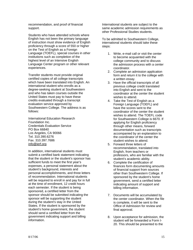recommendation, and proof of financial support.

Students who have attended schools where English has not been the primary language of instruction must show evidence of English proficiency through a score of 550 or higher on the Test of English as a Foreign Language (TOEFL), special courses in other institutions such as completion of the highest level of an Intensive English Language Center program or other relevant experiences.

Transfer students must provide original certified copies of all college transcripts which have been translated into English. An international student who enrolls as a degree-seeking student at Southwestern and who has taken courses outside the United States must pay to have these credits evaluated through a transcript evaluation service approved by Southwestern College. The address is as follows:

International Education Research Foundation Inc. Credentials Evaluation Service PO Box 66840 Los Angeles, CA 90066 Tel. 310.390.6276 Fax. 310.397.7686 info@ierf.org

In addition, international students must submit a certified bank statement indicating that the student or the student's sponsor has sufficient funds to meet the first year's expenses, a personal statement about the student's background, interests and personal accomplishments, and three letters of recommendation. International students will be required to enroll in and pay for in full at the time of enrollment, 12 credit hours each semester. If the student is being sponsored, a certified letter from the sponsor should be submitted indicating the sponsor will be supporting the student during the student's stay in the United States. If the student is sponsored by the student's home government, the student should send a certified letter from the government indicating support and billing information.

International students are subject to the same academic admission requirements as other Professional Studies students.

To be admitted to Southwestern College, international students should take these steps:

- 1. Write, e-mail call or visit the center to become acquainted with the college community and to discuss the admission process with a center coordinator.
- 2. Complete an admission application form and return it to the college with a written essay.
- 3. Have the official transcripts of all previous college credit translated into English and sent to the coordinator at the center the student wishes to attend.
- 4. Take the Test of English as a Foreign Language (TOEFL) and have the scores sent to the coordinator of the center the student wishes to attend. The TOEFL code for Southwestern College is 6670. If applying for English proficiency through other means, forward documentation such as transcripts accompanied by an explanation to the coordinator of the center the student wishes to attend.
- 5. Forward three letters of recommendation, translated into English, from teachers or professors, who are familiar with the student's academic ability.
- 6. Complete the certification of finances form documenting amounts of financial support from sources other than Southwestern College. If sponsored by the student's home government, send a certified letter indicating amount of support and billing information.
- 7. Documents will be accumulated by the center coordinator. When the file is complete, it will be sent to the Office of Admission for review and final approval.
- 8. Upon acceptance for admission, the student will be forwarded a Form I-20. This should be presented to the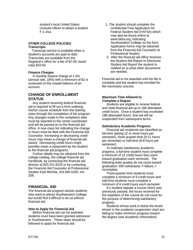student's local United States consular officer to obtain a student F-1 visa.

### **OTHER COLLEGE POLICIES Transcripts**

Transcript service is available when a student's accounts are paid to date. Transcripts are available from the Registrar's office for a fee of \$7.00; faxed copy \$10.00.

### **Finance Charges**

 A monthly finance charge of 1.5% (annual rate, 18%) with a minimum of \$1 is assessed on the unpaid balance of an account.

# **CHANGE OF ENROLLMENT STATUS**

 Any student receiving federal financial aid is required to fill out a form outlining his/her course schedule from the starting class through the completion of the program. Any changes made in the completion date must be reported to the center coordinator and will be passed on to the financial aid office. A new class list indicating the change in hours must be filed with the Financial Aid Counselor. Increasing or decreasing credit hours may mean a change of financial aid award. Decreasing credit hours might possibly mean a repayment by the student to the financial aid programs.

 Further details may be obtained from the college catalog, the college financial aid handbook, by contacting the financial aid director at 620.221.6215 or by contacting the Financial Aid Counselor at Professional Studies East Wichita, 316.684.5335, ext 209.

# **FINANCIAL AID**

The financial aid program assists students who want to attend Southwestern College but would find it difficult to do so without financial aid.

### **How to Apply for Financial Aid**

 Before financial aid can be awarded, students must have been granted admission to Southwestern. These steps should be followed to apply for financial aid:

- 1. The student should complete the confidential Free Application for Federal Student Aid (FAFSA) which may also be found online at www.fafsa.org, indicating Southwestern College on the form. Application forms may be obtained from the Financial Aid Counselor at Professional Studies.
- 2. After the financial aid office receives the Student Aid Report or Electronic Student Aid Report the student is notified as to what other documents are needed.

Financial aid is not awarded until the file is complete and the student has enrolled for the necessary courses.

### **Maximum Time Allowed to Complete a Degree**

 Students are eligible to receive federal and state financial aid up to 186 attempted credit hours. Once a student has exceeded 186 attempted hours, that aid will be suspended from subsequent terms.

### **Satisfactory Academic Progress**

 Financial aid recipients are classified as full-time (taking 12 or more hours per semester), three-quarter-time (9-11 hours per semester) or half-time (6-8 hours per semester).

 To maintain satisfactory academic progress, a full-time student must complete a minimum of 12 credit hours that count toward graduation each semester. The following letter grades do not count toward graduation: WD-withdrawal, F-failure, Iincomplete.

 Three-quarter-time students must complete a minimum of 9 credit hours and half-time students must complete a minimum of 6 credit hours each semester.

 If a student repeats a course which was previously passed, the hours received for the repetition of the course do not count for the purpose of determining satisfactory progress.

 Students whose work is below the levels shown in the academic suspension chart are failing to make minimum progress toward the degree (see Academic Information).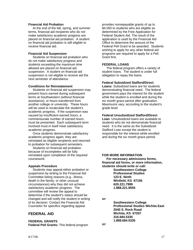### **Financial Aid Probation**

 At the end of the fall, spring, and summer terms, financial aid recipients who do not make satisfactory academic progress are placed on financial aid probation. A student on financial aid probation is still eligible to receive financial aid.

### **Financial Aid Suspension**

 Students on financial aid probation who do not make satisfactory progress and students exceeding the maximum time allowed are placed on financial aid suspension. A student on financial aid suspension is not eligible to receive aid the next semester of attendance.

### **Conditions for Reinstatement**

 Students on financial aid suspension may present hours earned during subsequent terms at Southwestern (without financial assistance), or hours transferred from another college or university. These hours will be used to recalculate the student's academic progress. If the suspension was caused by insufficient earned hours, a commensurate number of earned hours must be presented. Each subsequent term involved must in itself meet satisfactory academic progress.

 Once students demonstrate satisfactory academic progress again, they are reinstated as eligible recipients and returned to probation for subsequent semesters.

 Students on financial aid probation because of incompletes will be fully reinstated upon completion of the required coursework.

### **Appeals Procedure**

 Students may appeal either probation or suspension by writing to the Financial Aid Committee listing reasons (e.g., illness, death in the family, or other unusual circumstances) why they did not achieve satisfactory academic progress. The committee will review the appeal to determine if the student's status should be changed and will notify the student in writing of its decision. Contact the Financial Aid Counselor for specifics regarding appeal.

# **FEDERAL AID**

**FEDERAL GRANTS Federal Pell Grants:** This federal program provides nonrepayable grants of up to \$4,050 to students who are eligible as determined by the Free Application for Federal Student Aid. The result of the application is used by the Financial Aid Office to determine the amount of the Federal Pell Grant to be awarded. Students wishing to apply for any other federal aid programs are required to apply for a Pell Grant first.

### **FEDERAL LOANS**

 The federal program offers a variety of student loans. The student is under full obligation to repay the loans.

### **Federal Subsidized Stafford/Direct**

**Loans:** Subsidized loans are for students demonstrating financial need. The federal government pays the interest for the student while the student is enrolled and during the six month grace period after graduation. Maximums vary, according to the student's grade level.

### **Federal Unsubsidized Stafford/Direct**

**Loan**: Unsubsidized loans are available to students who do not demonstrate financial need. It is the same as the Subsidized Stafford Loan except the student is responsible for the interest while enrolled and during the six month grace period.

### **FOR MORE INFORMATION**

 **For necessary admissions forms, financial aid forms, or more information, students should write or call: Southwestern College Professional Studies 123 E. Ninth Winfield, KS 67156 620.221.7999 1.888.221.9555** 

**or:** 

 **Southwestern College Professional Studies Wichita East 2040 S. Rock Road Wichita, KS 67207 316.684.5335 1.888.684.5335** 

**or:**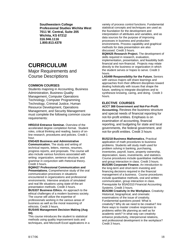**Southwestern College Professional Studies Wichita West 7011 W. Central, Suite 205 Wichita, KS 67212 316.946.1116 1.800.813.4378** 

# **CURRICULUM**

Major Requirements and Course Descriptions

### **COMMON COURSES**

Students majoring in Accounting, Business Administration, Business Quality Management, Computer Operations Technology, Computer Programming Technology, Criminal Justice, Human Resource Development, Operations Management, and Security Management must complete the following common course requirements:

**HRD210 Entrance Seminar.** Overview of the accelerated degree completion format. Student roles, critical thinking and reading, basics of online research, procedures and policies. Credit 1 hour.

**ENG420 Business and Administrative Communication.** The study and writing of technical reports, letters, memos, resumes, progress reports, and proposals. The course will also include various functions associated with writing: organization, sentence structure, and grammar in conjunction with rhetorical theory. Credit 3 hours.

**BQM427 Professional Communication and Presentations.** Comprehensive study of the oral communication processes in situations encountered in organizations and professional environments. Intensive analysis of simulated and real life situations using state-of-the-art presentation methods. Credit 3 hours.

**BUS337 Business Ethics.** An approach to the ethical challenges of a modern business society. The course will utilize the expertise of professionals working in the various areas of business as well as the moral reasoning of ethicists. Credit 3 hours.

### **BUS445 Management Decision Making (Aug 04).**

This course introduces the student to statistical methods using quality improvement tools and techniques, and Microsoft Excel applications in a variety of process control functions. Fundamental statistical concepts and techniques are used as the foundation for the development and interpretation of attributes and variables, and as data sources for the purpose of improving processes in business and production environments. Process capability and graphical methods for data presentation are also discussed. Credit 3 hours.

**BQM425 Research Project.** The development of skills required in research, evaluation, implementation, presentation, and feasibility both financial and non-financial. Projects may relate directly to the business or organization in which the student serves or hopes to serve. Credit 3 hours.

**LAS499 Responsibility for the Future.** Seniors with various majors will share learnings and approaches from their different disciplines toward dealing holistically with issues that shape the future, seeking to integrate disciplines and to synthesize knowing, caring, and doing. Credit 3 hours.

# **ELECTIVE COURSES**

**ACCT 388 Government and Not-For-Profit Accounting.** Reviews the business structure and special needs of financial reporting for not-for-profit entities. Emphasis is on examination of accounting, financial reporting, and budgeting for state and local governments, the federal government, and not-for-profit entities. Credit 3 hours

**BUS218 Business Mathematics.** Practical application of math procedures to business problems. Students will study math used for problem solving in banking, purchasing, inventories, payroll, loans, property ownership, depreciation, taxes, investments, and statistics. Course procedures include quantitative methods and group interaction in class. Credit 3 hours. **BUS395 Corporate Finance.** An introduction to the long-term and short-term investing and financing decisions required in the financial management of a business. Course procedures include quantitative methods, oral and written communication, group interaction in class. Prerequisite for BSAD310 Financial Accounting Systems. Credit 3 hours.

**BUS398 Creativity in the Workplace.** Creativity: Historical, biographical, and cinematic examinations of the issue of creativity. Fundamental questions posed: What is creativity? Why do we need to be creative? Are there ways to master creative responses to problems within life planning as well as for academic work? In what way can creativity enhance productivity, interpersonal relations, and professional development in the workplace? Credit 3 hours.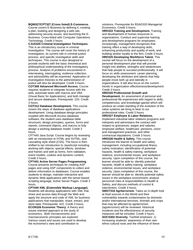#### **BQM327/CPT327 (Cross listed) E-Commerce.**

Course covers E-Business by defining it, creating a plan, building and designing a web site, addressing security issues, and launching the E-Business. Cross-listed with Computer Operations Technology. Credit 3 hours.

**CJUS325 Criminal Investigation Techniques.** This is an introductory course in criminal investigation. The course will cover the history of

investigation, its current role in criminal justice process, and specific investigative skills and techniques. This course is also designed to provide students with the basic theoretical and philosophical understanding of the investigatory process. Analysis of problems encountered in interviewing, interrogating, evidence collection, and admissibility will be examined. Application of investigation theories to the administration of justice will also be developed. Credit 3 hours. **COT308 Advanced Microsoft Access.** Course

requires students to integrate Access with the web, automate tasks with macros and VBA (Visual Basic for Applications), and both manage and secure databases. Prerequisite: 220. Credit 3 hours.

**COT312 Database Development.** This course covers the steps of database applications development. Using database design principles coupled with Microsoft Access database software, the student uses database table structures, design principles, queries, forms and reports, command objects, and macros to fully design a working database model. Credit 3 hours.

CPT440 Java Script. Course begins by reviewing with an introduction to HTML and XHTML, and cascading style sheet (CSS). The focus is then shifted to tan introduction to JavaScript including working with objects, special effects, windows and frames and well as forms, form validation, event models, cookies and dynamic content. Credit 3 hours.

**CPT441 Active Server Pages Programming.**  Course presents techniques for creating ASP pages and using ASP components to collect and deliver information to databases. Course enables students to design, maintain interactive and dynamic Web applications with the server-based scripting language, Active Server Pages. Credit 3 hours.

**CPT444 XML (Extensible Markup Language).**  Students will develop applications with XML that share and access data through the Web and apply the structure and code of XML for business applications that manipulate, share, extract, and store data. Prerequisite: 422. Credit 3 hours. **ECON326 Economic Theory.** A theory and issues oriented approach to the study of economics. Both microeconomic and macroeconomic principles are explored. Various cases and issues are used to develop the economist's view and contribution to

solutions. Prerequisite for BSAD320 Managerial Economics. Credit 3 hours.

**HRD322 Training and Development.** Training and development of human resources in organizations. Conduct and supervise training and development programs for employees. Increasingly, management recognizes that training offers a way of developing skills, enhancing productivity and quality of work, and building worker loyalty to the firm, Credit 3 hours. **HRD325 Developing Workforce Talent.** This course will focus on the development of a personal development plan that will provide insight into abilities, strengths and weaknesses that help people to succeed professionally. It will focus on skills assessment, career planning, developing the attributes and talents that help people move both up and laterally in organizations. It will also focus on the current trends in organization effectiveness/development. Credit 3 hours.

#### **HRD320 Professional Growth and**

**Development.** An assessment of personal and professional life experiences with regard to skills, competencies, and knowledge gained which will produce an under-standing of the evolution of the value systems we bring to bear to our professional roles. Credit 3 hours.

#### **HRD327 Employee & Labor Relations.**

Implement industrial labor relations programs and interprets and administers the contract with respect to grievances, wages and salaries, employee welfare, healthcare, pensions, union and management practices, and other contractual stipulations. Credit 3 hours.

**HRD328 Health & Safety.** This course introduces the learner to health and safety management, including occupational illness, safety motivation, identification of potential hazards, health & safety training, workplace violence, environmental issues, and workplace security. Upon completion of this course, the learner should be able to: identify potential hazards, health & safety training, workplace violence, environmental issues, and workplace security. Upon completion of this course, the learner should be able to: identify potential safety issues in the workplace environment, analyze personnel roles & responsibilities in Health & Safety, and discuss methods of control & intervention. Credit 3 hours.

**SMGT316 Agriterrorism.** Takes an in-depth look at food sources in the World and their vulnerability towards contamination by domestic and/or international terrorists. Animals and crops that may be affected by agriterrorism (agoterrorism) will be reviewed. Historical incidents and the effectiveness of security measures will be included. Credit 3 hours. **SOCS302 Diversity.** Twofold emphasis: 1) increasing students' awareness of their own ethno cultural roots and the influence of these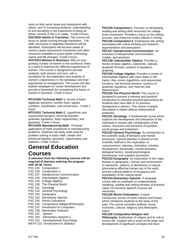roots on their world views and interactions with others, and 2) increasing students' understanding of and sensitivity to the experience of being an ethnic minority in the U.S. today. Credit 3 hours. **SOCS320 Adults in Transition.** This course will focus on adults moving through transitions. The skills necessary to negotiate transitions will be identified. Participants will become aware of various career assessment inventories and other resources available to assist adults confronting career and life changes. Credit 3 hours. **SOCS310 Women in Business.** With an ever growing number of women in the workforce, there is a need to examine the differing experiences of women. This course is designed to provide students, both women and men, with a foundation for the exploration and analysis of women's experiences in the workplace and their approaches to management. The course will also explore strategies for career development and provide a framework for considering the future of women in business. Credit 3 hours.

**MTCH330 Technical Math 1.** Survey of basic algebraic functions, number lines, signed numbers, coordinates, and conversions. Credit 3 hours.

**MTCH331 Technical Math 2.** Logarithmic and exponential functions, binomial theorem, quadratic equations, basic trigonometry, and geometry. Credit 3 hours.

**MTCH355 Manufacturing Math**. Practical application of math procedures to manufacturing problems. Students will study math used for problem solving in basic math, simple and advanced algebra, geometry, trigonometry and statistics. Credit 3 hours.

# **General Education Courses**

**A selection from the following courses will be required of learners entering the program with 30-48 hours:** 

PSC 225 Composition I PSC 226 Composition II PSC 227 Interpersonal Communication PSC 228 Intermediate Algebra PSC 229 College Algebra PSC 230 The Physical World PSC 231 Sociology PSC 232 General Psychology PSC 233 Geography PSC 234 Elementary Spanish PSC 235 World Civilizations PSC 236 Comparative Religion/Philosophy PSC 237 Introduction to Computers PSC 238 Elementary Statistics PSC 242 Speech PSC 244 Elementary Spanish II PSC 252 Developmental Psychology MATH 215 Introductions to Statistics

**PSC225 Composition I**. Focuses on developing reading and writing skills necessary for college level coursework. Provides a focus on the writing process, and rhetorical modes utilized in writing. **PSC226 Composition II**. Emphasizes the writing associated with critical thinking and research, argumentation and persuasion.

**PSC227 Interpersonal Communication**. An overview of interpersonal communication, models, and practices.

**PSC228. Intermediate Algebra**. Provides a review of basic algebra, exponents, radicals, quadratic formula, systems of equations, graphing.

**PSC229 College Algebra**. Provides a review of Intermediate Algebra with more depth in the topics. Also covers logarithmic and exponential functions, the binomial theorem, systems of quadratic equations, and matrices and determinants.

**PSC230 The Physical World**. This course is designed to present a relevant and practical introduction to everyday physical phenomena for students who have little or no previous background in physics. The course is largely descriptive in nature without mathematical emphasis.

**PSC231 Sociology**. A fundamental course which explores the development and interaction of the individual in society with consideration of the culture, structures and functions of societies, social groups and institutions.

**PSC232 General Psychology**. An introduction to the scientific study of behavior and mental processes. Special attention is placed on the scientific method in the exploration of consciousness, learning, motivation, emotion, development, personality, mental disorders, biological factors, social-psychological phenomena, and cognitive processes.

**PSC233 Geography**. An exploration of the major themes in geography—human and environment in interaction, patterns of distribution of natural phenomena affecting human use of the earth, and the cultural patterns of occupancy and exploitation of the natural world.

**PSC234 Elementary Spanish**. A language course with an emphasis on understanding, speaking, reading and writing phrases of practical value. No previous Spanish courses are necessary.

**PSC235 World Civilizations**. A basic introductory survey of world cultures and history which introduces students to the study of the past. The course considers political, social, economic, cultural, religious and philosophic topics.

**PSC236 Comparative Religion and**

**Philosophy**: Exploration of religion and its role in human life, coupled with a study of the origin and development of significant concepts that have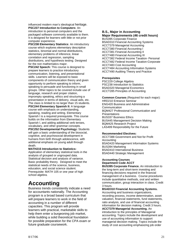influenced modern man's ideological heritage. **PSC237 Introduction to Computers**: An introduction to personal computers and the packaged software commonly available to them. It is designed for learners with little or not prior computer experience.

**PSC238 Elementary Statistics**: An introductory course which explores elementary descriptive statistics, binomial and normal distributions, elementary problems of inference, linear correlation and regression, sampling distributions, and hypothesis testing. Designed for the non mathematics major.

**PSC242 Speech:** This course is designed to prepare learners to practice introductory communication, listening, and presentational skills. Learners will be exposed to basic components of communication theory and given opportunity to perform speaking to inform, speaking to persuade and functioning in small groups. Other topics to be covered include use of language, research and proper citation, impromptu speaking, ethics and structuring a presentation in terms of delivery, visual aids, etc.

The class is limited to no larger than 15 students. **PSC244 Elementary Spanish II:** A language course with emphasis on understanding, speaking, reading and writing. Elementary Spanish I is a required prerequisite. This course builds on the information from Elementary Spanish I, and adding additional verb tenses, vocabulary, and other grammar concepts.

**PSC252 Developmental Psychology:** Students will gain a basic understanding of the biosocial. cognitive, and psychosocial development in humans from birth through adolescence, with additional emphasis on young adult through death.

### **MATH215 Introduction to Statistics:**

Application of elementary statistical tools in the analysis of grouped or ungrouped data. Statistical decision and analysis of variance. Basic probability theory. Designed to meet the statistical needs of the science, business, education, and social science student. Prerequisite: MATH 105 or one year of high school algebra.

# **Accounting**

Business trends consistently indicate a need for accountants nationally. The Accounting program is a broad based curriculum that will prepare learners to work in the field of accounting in a number of different capacities. This program will provide learners with practical, marketable skills to help them enter a burgeoning job market, while building a solid theoretical foundation for possible preparation for the CPA exam or future graduate coursework.

### **B.S., Major in Accounting Major Requirements (46 credit hours)**

BUS395 Corporate Finance BSAD310 Financial Accounting Systems ACCT379 Managerial Accounting ACCT380 Financial Accounting I ACCT381 Financial Accounting II ACCT480 Financial Accounting III ACCT382 Federal Income Taxation- Personal ACCT482 Federal Income Taxation-Corporate ACCT483 Cost Accounting ACCT484 Accounting Information Systems ACCT490 Auditing Theory and Practice

### **Prerequisites**

PSC229 College Algebra PSC238 Introduction to Statistics BSAD320 Managerial Economics ACCT285 Principles of Accounting

**Common Courses** (Required for each major): HRD210 Entrance Seminar ENG420 Business and Administrative **Communication** BQM427 Professional Communication and **Presentations** BUS337 Business Ethics BUS445 Management Decision Making BQM425 Research Project LAS499 Responsibility for the Future

#### **Recommended Electives:**

ACCT388 Government and Not for Profit **Accounting** BSAD420 Management Information Systems BUS394 Marketing BSAD410 International Business BSAD440 Strategic Management

## **Accounting Courses Department Code ACCT**

**BUS395 Corporate Finance.** An introduction to the long-term and short-term investing and financing decisions required in the financial management of a business. Course procedures include quantitative methods, oral and written communication, group interaction in class. Credit 3 hours.

**BSAD310 Financial Accounting Systems.** Accounting and business organizations, recording process, income determination, asset valuation, financial statements, fund statements, ratio analysis, and use of financial accounting information for decision making. Credit 3 hours. **ACCT379 Managerial Accounting.** An introduction to the principles of Managerial accounting. Topics include the development and use of accounting information to support managerial decision making. Topics include the study of cost accounting emphasizing job order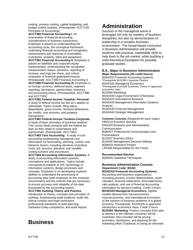costing, process costing, capital budgeting, and budget control analysis. (Prerequisite: ACCT226 Principles of Accounting)

**ACCT380 Financial Accounting I.** An examination of financial accounting considerations of business transactions. Emphasis is placed on understanding the accounting cycle, the conceptual framework underlying financial accounting and recognition, measurement and reporting of receivables, inventories, property, plant and equipment.

**ACCT381 Financial Accounting II.** Emphasis is placed on liabilities and corporate equity measurement, understanding the recognition, measurement, leases, pensions, reporting of revenue, earnings per share, and critical evaluation of financial goals/performance.

(Prerequisite: ACCT380 Financial Accounting I) **ACCT480 Financial Accounting III.** Emphasis is on foreign currency, deferred taxes, segment reporting, derivatives, partnerships, branches, and accounting theory. (Prerequisites: ACCT380 and ACCT381)

**ACCT382 Federal Income Taxation- Personal.**  A study of federal income tax law as it applies to individuals. Topics include: filing status, dependents, gross income, itemized deductions, tax credits, cost recovery, and property transactions.

**ACCT482 Federal Income Taxation-Corporate.** A study of basic principles of business taxation. This course deals primarily with the federal tax

laws as they relate to corporations and partnerships. (Prerequisite: ACCT381) **ACCT483 Cost Accounting**. A study of cost

accounting emphasizing managerial cost information for forecasting, planning, control, and behavior factors, including elements of product costs, job, process, standard, and variable costing systems and procedures.

**ACCT484 Accounting Information Systems.** A study of accounting information systems conceptions and applications. Topics include conceptual foundation of AIS, technology of information systems, design processes and concepts. Emphasis is on developing students' abilities to understand the processing of accounting data (with emphasis on the computer environment) and the controls that are necessary to ensure accuracy and reliability of the data processed by the accounting system.

**ACCT490 Auditing Theory and Practice.** Introduction to theory, concepts and principles of auditing. Emphasizing audit evidence, audit risk, ethical conduct and legal restrictions, professional standards of audit planning, Sarbanes-Oxley compliance, and audit reports.

# **Business**

# **Administration**

Success in the managerial arena is leveraged not only by mastery of business disciplines, but also by demonstration of leadership in a complex business environment. The broad-based curriculum in Business Administration will provide students with practical, marketable skills to help them in the job market, while building a solid theoretical foundation for possible graduate studies.

### **B.S., Major in Business Administration Major Requirements (43 credit hours):**

BSAD310 Financial Accounting Systems \*Prerequisite BUS395 Corporate Finance BSAD320 Managerial Economics \*Prerequisite Econ326 Economic Theory or approved economics class. BUS394 Marketing BSAD340 Legal Environment of Business BSAD410 International Business BSAD420 Management Information Systems Analysis BSAD430 Financial Management BSAD440 Strategic Management

**Common Courses** (Required for each major): HRD210 Entrance Seminar

ENG420 Business and Administrative Communication BQM427 Professional Communication and **Presentations** BUS337 Business Ethics BUS445 Management Decision Making BQM425 Research Project LAS499 Responsibility for the Future

**Recommended Elective** 

BQM450 Statistical Techniques

## **Business Administration Courses Department Code: BSAD**

**BSAD310 Financial Accounting Systems.**  Accounting and business organizations,

recording process, income determination, asset valuation, financial statements, fund statements, ratio analysis, and use of financial accounting information for decision making. Credit 3 hours. **BSAD320 Managerial Economics.** Applies models derived from microeconomics, macroeconomics, and international economics to the solution of business problems in a global economy. Prerequisite: ECON326 or approved introductory economics class. Credit 3 hours. **BUS394 Marketing.** Product concepts from idea to delivery to the ultimate consumer will be examined. Also included will be pricing, promotion, distribution, and planning for the marketing effort. Emphasis on being an informed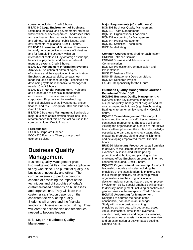#### consumer included. Credit 3 hours. **BSAD340 Legal Environment of Business.**

Examines the social and governmental structure within which business operates. Addresses labor and employment law, contracts, business torts and crimes, legal process, public issues, and environmental regulations. Credit 3 hours.

**BSAD410 International Business.** Framework for analyzing competitive structure of industries and for formulating strategy within an international context. Study of foreign exchange, balance of payments, and the international monetary system. Credit 3 hours.

#### **BSAD420 Management Information Systems Analysis.** Evaluation of different types

of software and their application in organization. Emphasis on practical skills, spreadsheet modeling, and database design. Techniques for developing systems responsive to managerial needs. Credit 3 hours.

**BSAD430 Financial Management.** Problems and procedures of financial management encountered in normal operations of a corporation. Emphasis on forward-looking financial analysis such as investments, project finance, and risk. Prerequisite: 310 and Bus 395. Credit 3 hours.

**BSAD440 Strategic Management.** Synthesis of major business administration disciplines. It is recommended that this be the last course in the core curriculum*.* Credit 3 hours.

### **Prerequisites:**

BUS395 Corporate Finance ECON326 Economic Theory or approved economics class

# **Business Quality Management**

Business Quality Management gives knowledge and skills immediately applicable to any workplace. The pursuit of quality is a business of necessity and ethics. The curriculum seeks to produce persons capable of assessing the impact of the techniques and philosophies of today's customer-based demands on businesses and organizations. They will learn that customer satisfaction depends on the consistent delivery of top quality. Students will understand the financial functions in business decision making. They will learn the philosophies and techniques needed to become leaders.

### **B.S., Major in Business Quality Management**

### **Major Requirements (40 credit hours):**

BQM301 Business Quality Management BQM310 Team Management BQM320 Organizational Leadership BQM432 Accounting for Management BQM444 Project Management BQM450 Statistical Techniques BUS394 Marketing

**Common Courses** (Required for each major): HRD210 Entrance Seminar ENG420 Business and Administrative **Communication** BQM427 Professional Communication and **Presentations** BUS337 Business Ethics BUS445 Management Decision Making BQM425 Research Project LAS499 Responsibility for the Future

### **Business Quality Management Courses Department Code: BQM**

**BQM301 Business Quality Management.** An overview of the key elements comprising a superior quality management program and the most accepted techniques (e.g., benchmarking, Baldrige criteria) for achieving quality. Credit 3 hours.

**BQM310 Team Management.** The study of teams and the impact of self-directed teams on continuous improvement. The focus will be on viewing the organization as a series of interactive teams with emphasis on the skills and knowledge essential to organizing teams, evaluating data, measuring progress, plotting accomplishments, and developing empowered teams. Credit 3 hours.

**BUS394 Marketing.** Product concepts from idea to delivery to the ultimate consumer will be examined. Also included will be pricing, promotion, distribution, and planning for the marketing effort. Emphasis on being an informed consumer included. Credit 3 hours.

**BQM320 Organizational Leadership.** A study of leadership models and styles including the principles of the latest leadership thinkers. The focus will be particularly on leadership within organizations emphasizing motivational, decision-making, communication, and employee involvement skills. Special emphasis will be given to diversity management, including minorities and gender issues in the workplace. Credit 3 hours.

**BQM432 Accounting for Management.**  Designed to address the needs of the nonfinancial, non-accountant manager. Study will include basic accounting principles as they deal with budgeting, asset value, cost factors, direct labor, overhead, standard cost, positive and negative variances, and spreadsheet analysis. Includes an overview and an examination of activity-based costing. Credit 3 hours.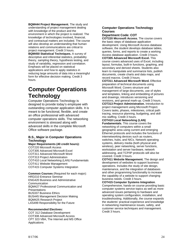**BQM444 Project Management.** The study and understanding of project management dealing with knowledge of the product and the environment in which the project is realized. The knowledge of technologies involved, financial, and contractual matters are included. The course will also develop an understanding that human relations and communications are critical to project management. Credit 3 hours. **BQM450 Statistical Techniques.** A survey of descriptive and inferential statistics, probability theory, sampling theory, hypothesis testing, and study of variability, regression and correlation. Emphasis will be placed on statistical applications and how to apply statistics in reducing large amounts of data into a meaningful form for effective decision making. Credit 3 hours.

# **Computer Operations Technology**

Computer Operations Technology is designed to provide today's employee with outstanding computer application skills. It is meant to be functional, flexible, and create an office professional with advanced computer operations skills. The networking environment is stressed along with advanced skills in the complete Microsoft Office software package.

### **B.S., Major in Computer Operations Technology**

**Major Requirements (40 credit hours):**  COT220 Microsoft Access COT305 Advanced Microsoft Excel COT311 Advanced Microsoft Word COT313 Project Administration COT410 Local Networking (LAN) Fundamentals COT411 Website Management COT415 Computer Systems Integration

**Common Courses** (Required for each major): HRD210 Entrance Seminar ENG420 Business and Administrative **Communication** BQM427 Professional Communication and **Presentations** BUS337 Business Ethics BUS445 Management Decision Making BQM425 Research Project LAS499 Responsibility for the Future

### **Recommended Electives:**

COT 312 Database Development COT308 Advanced Microsoft Access CPT 323 VBA, The Internet and MS Office Applications

### **Computer Operations Technology Courses**

**Department Code: COT** 

**COT220 Microsoft Access.** The course covers the basic steps of database application development. Using Microsoft Access database software, the student develops database tables, queries, forms, and reports to create a working Access database application. Credit 3 hours. **COT305 Advanced Microsoft Excel.** This course covers advanced uses of Excel, including layout, formulas, built-in functions, graphing, and secondary and derived sheets. Students also learn to manipulate and summarize lists, publish documents, create charts and data maps, and record macros. Credit 3 hours.

**COT311 Advanced Microsoft Word.** Effective preparation of technical documents using Microsoft Word. Covers structure and management of large documents, use of styles and templates, linking and embedding of pictures and drawings, introduces versioning and revisions, and general mark-up. Credit 3 hours. **COT313 Project Administration.** Introduction to project management using Microsoft Project. Covers tasks, phases, milestones, critical path tracing, resource planning, budgeting, and skill mix staffing. Credit 3 hours.

### **COT410 Local Networking (LAN)**

**Fundamentals.** This course covers the networking of computers within a small geographic area using current and emerging Ethernet protocols and includes the functions of internetworking devices such as routers, switches, hubs, and NICs. Network operating systems, delivery media (both physical and wireless), peer networking, server functions, workstation and server hardware, network addressing, and TCP/IP protocols will also be covered. Credit 3 hours.

**COT411 Website Management.** The design and development of websites to support business operations. Includes the study of site design, maintenance, and the integration of databases and other programming functionality to increase the capability of a website to support changing business needs. Credit 3 hours.

**COT415 Computer Systems Integration**. Comprehensive, hands-on course providing basic computer systems service topics as well as more advanced issues pertaining to hardware and operating system configuration, installation, and troubleshooting. Additionally, the course expands the students' practical experience and knowledge in networking maintenance issues, safety, and customer service techniques and management. Credit 3 hours.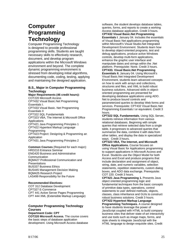# **Computer Programming Technology**

Computer Programming Technology is designed to provide professional programming skills. Students are taught necessary skills to effectively research, document, and develop program applications within the Microsoft Windows environment and beyond. The complete dynamic programming environment is stressed from developing initial algorithms, documenting code, coding, testing, applying and maintaining the designed application.

### **B.S., Major in Computer Programming Technology**

**Major Requirements (46 credit hours):**  COT220 Microsoft Access CPT432 Visual Basic.Net Programming Essentials I. CPT433 Visual Basic. Net Programming Essentials II CPT322 SQL Fundamentals CPT323 VBA, The Internet & Microsoft Office Applications CPT421 Java Programming Principles 1 CPT422 Hypertext Markup Language Programming CPT423 Project: Designing & Programming an Application CPT431 Java Programming Principles 2

**Common Courses** (Required for each major): HRD210 Entrance Seminar ENG420 Business and Administrative Communication BQM427 Professional Communication and **Presentations** BUS337 Business Ethics BUS445 Management Decision Making BQM425 Research Project LAS499 Responsibility for the Future

### **Recommended Electives:**

COT 312 Database Development CPT327 E-Commerce CPT 441 Active Server Pages Programming CPT 444 XML (Extensible Markup Language)

### **Computer Programming Technology Courses**

**Department Code: CPT COT220 Microsoft Access.** The course covers the basic steps of database application development. Using Microsoft Access database

software, the student develops database tables, queries, forms, and reports to create a working Access database application. Credit 3 hours. **CPT432 Visual Basic.Net Programming Essentials I**. January 04. Includes the essentials of Visual Basic Net applications programming within Microsoft's Visual Studio.Net Integrated Development Environment. Students learn how to develop object-oriented programs, test and debug applications, produce active Windows controls, develop multi-form applications, enhance the graphic user interface and manipulate dates and strings within the .Net platform. Prerequisite: None. Credit 3 hours. **CPT433. Visual Basic.Net Programming Essentials II.** January 04. Using Microsoft's Visual Basic.Net Integrated Development Environment, students learn advanced concepts on how to work with arrays and collections, structures and files, and XML to build robust business solutions. Advanced skills in objectoriented programming are presented for developing database applications using ADO. Net to produce bound controls and

parameterized queries to develop Web forms and services. Prerequisite: CPT432 Visual Basic.Net Programming Essentials I or equivalent. Credit 3 hours.

**CPT322 SQL Fundamentals.** Using SQL Server, students retrieve information from various relational databases. Beginning with simple queries that retrieve selected data from a single table, it progresses to advanced queries that summarize the data, combine it with data from other tables, and display the data in specialized ways. Credit 3 hours.

**CPT323 VBA, The Internet, and Microsoft Office Applications.** Course focuses on using Visual Basic for Applications programming to support applications in Microsoft Access and Excel. Students use the Object Model for both Access and Excel and produce programs that include declaration and assignment of object, string, date, and numeric variables, selection statements, repetition statements, custom dialog boxes, and ADO data exchange. Prerequisite: COT 220. Credit 3 hours.

**CPT421 Java Programming 1.** Presents Java object oriented programming logic and fundamental techniques from the basic concepts of primitive data types, operations, control statements to user defined methods, objects, classes, class inheritance and GUIs to construct robust business solutions. Credit 3 hours.

**CPT422 Hypertext Markup Language Programming Techniques.** A course designed to have students leverage the power of JavaScript coupled with HTML to build company business sites that deliver state-of-art interactivity and use tools such as image maps, forms, and style sheets to integrate JavaScript with the HTML language to design exquisite sites. Credit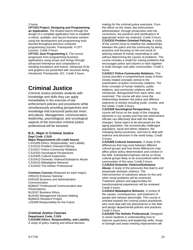#### 3 hours

**CPT423 Project: Designing and Programming an Application.** The student learns through the design of a complete application how to establish a robust, scalable, and secure business solution using the development and programming tools learned throughout previous computer programming courses. Prerequisite: 4 CPT courses. Credit 3 hours.

**CPT431 Java Programming 2.** The course progresses from programming business applications using arrays and strings through advanced inheritance and composition to handling exceptions and events. Advanced GUIs and graphics are presented with recursion being introduced. Prerequisite: 421. Credit 3 hours.

# **Criminal Justice**

Criminal Justice provides students with knowledge and skills they can apply immediately in the exercise of law enforcement policies and procedures while simultaneously providing perspectives and knowledge that transcend particular times and places. Management, communication, leadership, psychological, and sociological aspects of the executive criminal justice professional will be stressed.

### **B.S., Major in Criminal Justice Dept Code: CJUS**

**Major Requirements (43 credit hours):**  CJUS305 Ethics, Responsibility, and Liability CJUS310 Problem Oriented Policing CJUS317 Police-Community Relations CJUS320 Sociological Perspectives CJUS405 Cultural Awareness CJUS410 Domestic Violence/Substance Abuse CJUS415 Maladaptive Behavior CJUS420 The Holistic Professional

**Common Courses** (Required for each major): HRD210 Entrance Seminar ENG420 Business and Administrative **Communication** BQM427 Professional Communication and **Presentations** BUS337 Business Ethics BUS445 Management Decision Making BQM425 Research Project LAS499 Responsibility for the Future

#### **Criminal Justice Courses Department Code: CJUS CJUS305 Ethics, Responsibility, and Liability.**  A study of policy making and ethical decision

making for the criminal justice executive. From the officer on the street, law enforcement administration, through prosecution and into corrections, the practices and ramifications of appropriate action are explored. Credit 3 hours. **CJUS310 Problem Oriented Policing.** A study of the current move to redefine the relationships between the police and the community by being proactive and focusing on the end result of policing instead of merely responding to calls without determining the causes of problems. The course includes a model for solving problems that encourages police and citizens to work together to build stronger and safer communities. Credit 3 hours.

**CJUS317 Police-Community Relations.** This course provides a comprehensive study of three closely related concepts central to the examination of police community relations. The three concepts of human relations, public relations, and community relations will be introduced, distinguished from each other, and examined. The course will also cover the relationships between the police and different segments of society including youth, crowds, and the media. Credit 3 hours.

**CJUS320 Sociological Perspectives.** This course will focus on the study of the changing elements in our society and how law enforcement officials can effectively deal with the daily changes. Some topics to be discussed are the aging population, the economically challenged population, racial and ethnic relations, the changing family processes, and how to deal with violence and terrorism in the world today. Credit 3 hours.

**CJUS405 Cultural Awareness.** A study of the differences that may exist between different cultural groups and how those differences may affect police policy determination and conduct in the field. Substantial emphasis will be on those cultural groups likely to be encountered within the communities of this area. Credit 3 hours.

**CJUS410 Domestic Violence/Substance Abuse.** A study of the pressures that lead to and perpetuate domestic violence. The interconnection of substance abuse on this and other social problems will be examined. Treatment options and opportunities for transformational experiences will be reviewed. Credit 3 hours.

**CJUS415 Maladaptive Behavior.** A review of the causes, consequences, and treatment of people who behave abnormally. This course is oriented towards the criminal justice practitioner who must deal with the phenomenon in the field and design departmental policies and practices. Credit 3 hours.

**CJUS420 The Holistic Professional.** Designed to assist students in understanding how to improve supervisory and leadership skills. Areas of strength and areas needing improvement will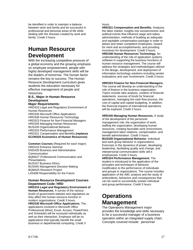be identified in order to maintain a balance between work and family and be successful in professional and personal areas of life while dealing with the stresses created by work and family. Credit 3 hours.

# **Human Resource Development**

With the increasing competitive pressure of a global economy and the growing emphasis on employee empowerment, people with highly developed management skills will be the leaders of tomorrow. The human factor remains the key to success. The Human Resource Development curriculum gives students the education necessary for effective management of people and resources.

### **B.S., Major in Human Resource Development**

### **Major Requirements:**

HRD310 Legal and Regulatory Environment of Human Resources HRD330 Microsoft Office Applications HRD338 Human Resources Technology HRD323 Finance for Non-Financial Managers HRD345 Managing Human Resources BUS328 Organizational Behavior

HRD324 Performance Management HRD321 Compensation and Benefits **(replaces ECON325 Economics of Human Resources)**

**Common Courses** (Required for each major): HRD210 Entrance Seminar ENG420 Business and Administrative Communication BQM427 Professional Communication and **Presentations** BUS337 Business Ethics BUS445 Management Decision Making BQM425 Research Project LAS499 Responsibility for the Future

### **Human Resource Development Courses Department Code: HRD**

**HRD310 Legal and Regulatory Environment of Human Resources.** A survey of the various levels of government statutes and regulations as they affect the human resource function in modern organizations. Credit 3 hours. **HRD330 Microsoft Office Applications.** The applications involved in Microsoft Office Professional (Word, Excel, Access, PowerPoint, and Schedule) will be surveyed individually as well as their interaction. Emphasis will be on applications that typically benefit the small business or departmental computing. Credit 3

### hours.

**HRD321 Compensation and Benefits.** Analyzes the labor market, insights into socioeconomic and political events that influence wage and salary administration, methods of building an adequate and equitable compensation package in order to attract and retain competent employees, reward for merit and accomplishments, and providing incentives for development. Credit 3 hours. **HRD338 Human Resources Technology.** An understanding of the role of application systems software in supporting the business functions of human resource management. The course will address the strategies and methodologies utilized in the design, development, and deployment of information technology solutions including vendor evaluations and user involvement. Credit 3 hours.

### **HRD323 Finance for Non-Financial Managers.**

The course will develop an understanding of the role of finance in the business organization. Topics include ratio analysis, creation of financial statements, sources of funds for financial operations, managing the cash flow process, the cost of capital and capital budgeting. In addition, the financial impacts of international operations will be explored. Credit 3 hours.

### **HRD345 Managing Human Resources.** A study

of the development of the personnel management role, the organization of work, staffing the organization, developing human resources, creating favorable work environment, management labor relations, compensation, and benefit administration. Credit 3 hours.

**BUS328 Organizational Behavior.** Individual and work group behavior in organizations. Exercises in the dynamics of power, developing leadership, facilitating quality and change, and interpersonal communication skills will e emphasized. Credit 3 hours.

**HRD324 Performance Management.** The student is introduced to the application of the principles and techniques of behavior modification to the performance of individuals and groups in organizations. The course includes application of the ABC analysis and the study of antecedents, behaviors and consequences that can be used to successfully sustain individual and group performance. Credit 3 hours.

# **Operations Management**

The Operations Management major provides the knowledge and skills necessary to be a successful manager of a business operation within an integrated supply chain. Concepts covered include: personnel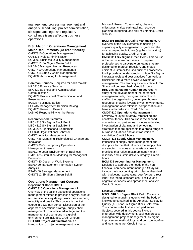management, process management and analysis, scheduling, project administration, six sigma and legal and regulatory compliance issues affecting business operations.

### **B.S., Major in Operations Management Major Requirements (43 credit hours):**

OMGT310 Operations Management I COT313 Project Administration BQM301 Business Quality Management OMGT311 Six Sigma Green Belt I HRD345 Managing Human Resources OMGT410 Operations Management II OMGT415 Supply Chain Management BQM432 Accounting for Management

**Common Courses** (Required for each major): HRD210 Entrance Seminar ENG420 Business and Administrative **Communication** BQM427 Professional Communication and **Presentations** BUS337 Business Ethics BUS445 Management Decision Making BQM425 Research Project LAS499 Responsibility for the Future

#### **Recommended Electives**

MTCH318 Six Sigma Black Belt I MTCH319 Six Sigma Black Belt II BQM320 Organizational Leadership BUS328 Organizational Behavior OMGT Logistics Management OMGT425 Managing Technological Change and Innovation OMGT430 Contemporary Operations Management Issues BSAD340 Legal Environment of Business OMGT435 Simulation Modeling for Managerial **Decisions** OMGT440 Design of Work Systems BSAD420 Management Information System Analysis BSAD440 Strategic Management OMGT312 Six Sigma Green Belt II

#### **Operations Management Courses Department Code: OMGT OMGT 310 Operations Management I.**

Overview of the salient aspects of operations management related to process analysis, product and service delivery design, work measurement**,**  reliability and quality. This course is the first course in a two part series. Discussion of the aspects of operations strategy, supply chain management, competitive advantage and the management of operations in a global environment are included. Credit 3 hours. **COT 313 Project Administration.** An introduction to project management using

Microsoft Project. Covers tasks, phases, milestones, critical path tracking, resource planning, budgeting, and skill-mix staffing. Credit 3 hours.

**BQM 301 Business Quality Management.** An overview of the key elements comprising a superior quality management program and the most accepted techniques (e.g. benchmarking) for achieving quality. Credit 3 hours.

**OMGT 311 Six Sigma Green Belt I.** This course is the first of a two part series to prepare professionals to participate on teams that are designed to improve, redesign, and create efficient, customer-focused business processes. It will provide an understanding of how Six Sigma integrates tools and best practices from various disciplines into a more powerful system of management. The teaming aspects critical to Six Sigma will be described. Credit 3 hours.

**HRD 345 Managing Human Resources.** A study of the development of the personnel management role, the organization of work, staffing the organization, developing human resources, creating favorable work environments, management-labor relations, compensation and benefit administration. Credit 3 hours.

**OMGT 410 Operations Management II.**  Overview of layout strategy, forecasting and constraint theory. This course is the second course in a two part series. Includes a detailed investigation of planning and scheduling strategies that are applicable to a broad range of business situations and an introduction to simulation. Credit 3 hours.

**OMGT 415 Supply Chain Management.**  Intricacies of supply chain management and disruptive factors that influence the supply chain are studied. Includes an analysis of current practices that reflect maximum supply chain reliability and sustain delivery integrity. Credit 3 hours.

**BQM 432 Accounting for Management.**  Designed to address the needs of the nonfinancial, non-accountant manager. Study will include basic accounting principles as they deal with budgeting, asset value, cost factors, direct labor, overhead, standard cost, positive and negative variances, and spreadsheet analysis. Credit 3 hours.

### **Elective Courses**

**MTCH 318 Six Sigma Black Belt I** Course is designed to acquaint students with the body of knowledge contained in the American Society for Quality (ASQ) for Six Sigma Black Belt Exam. This course is the first in a two part series. Subjects covered in this course include enterprise-wide deployment, business process management, project management, six sigma improvement methodology, and both tools-define and tools-measure. Credit 3 hours.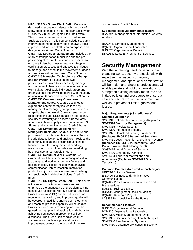**MTCH 319 Six Sigma Black Belt II** Course is designed to acquaint students with the body of knowledge contained in the American Society for Quality (ASQ) for Six Sigma Black Belt exam. This course is the second in a two part series. Subjects covered in this course include six sigma improvement methodology (tools-analyze, toolsimprove, and tools-control), lean enterprise, and design for six sigma. Credit 3 hours.

**OMGT 420 Logistics Management.** Includes the study of transportation modalities and the prepositioning of raw materials and components to ensure efficient business operations. Supplier certification processes and effective techniques to manage and schedule the movement of goods and services will be discussed. Credit 3 hours.

**OMGT 425 Managing Technological Change and Innovation.** Focuses on the two perspectives required to successfully manage

and implement change and innovation within a work culture. Applicable individual, group and organizational theory will be paired with the study of innovation theory and practice. Credit 3 hours. **OMGT 430 Contemporary Operations** 

**Management Issues.** A course designed to explore the contemporary issues faced by management in managing complex operations in a rapidly changing world. Current issues to be researched include REID impact on operations, security of inventory and assets plus the latest advances in lean, supply chain management, Six Sigma, and Human Resources. Credit 3 hours.

**OMGT 435 Simulation Modeling for** 

**Managerial Decisions.** Study of the nature and purpose of computer simulation models. Topics include data collection and analysis. Provides the opportunity to plan and design simulations for facilities, manufacturing, material handling, warehousing, distribution, sales and marketing business scenarios. Credit 3 hours.

**OMGT 440 Design of Work Systems.** An examination of the interaction among individual, job design and work environment factors and design choices. Topics include work analysis, communication, job satisfaction, motivation, productivity, job and work environment redesign and socio-technical design choices. Credit 3 hours.

**OMGT 312 Six Sigma Green Belt II**. This course is the second in a two-part series and will emphasize the quantitative and problem solving techniques associated with Six Sigma. Statistical Process Control (SPC) and how it is used for monitoring, analyzing, and improving quality will be covered. In addition, analysis of histograms and machine/process capability will be studied. Proficiency with problem solving tools will be gained through practical application. Methods for achieving continuous improvement will be discussed. The Green Belt candidates must successfully complete a process/quality improvement project in the second of the two

course series. Credit 3 hours.

**Suggested electives from other majors:** 

BSAD420 Management of Information Systems Analysis

BSAD440 Strategic Management BQM320 Organizational Leadership BUS 328 Organizational Behavior BSAD340 Legal Environment of Business

# **Security Management**

With the increasing need for security in a changing world, security professionals with expertise in all aspects of security management and operational administration will be in demand. Security professionals will enable private and public organizations to strengthen existing security measures and initiate policies and procedures to ensure a safe and secure working environment, as well as to prevent or limit organizational losses.

#### **Major Requirements (43 credit hours): Changes October 04**

SMGT311 Introduction to Security **(Replaces SMGT310 Security Management)**  SMGT315 Physical Security SMGT320 Information Security SMGT321 Homeland Security Fundamentals **(Replaces SMGT325 Personnel Security)**  SMGT411 Loss Prevention and Crime Prevention **(Replaces SMGT410 Vulnerability, Loss Prevention** and Risk Management) SMGT415 Legal Aspects of Security SMGT420 Emergency Planning SMGT424 Terrorism-Motivations and Adversaries **(Replaces SMGT425 Bio-Terrorism)** 

**Common Courses** (Required for each major): HRD210 Entrance Seminar ENG420 Business and Administrative Communication BQM427 Professional Communication and **Presentations** BUS337 Business Ethics BUS445 Management Decision Making BQM425 Research Project LAS499 Responsibility for the Future

### **Recommended Electives**

BUS328 Organizational Behavior BQM320 Organizational Leadership SMGT330 Media Management (Omit) SMGT335 Security Investigation Techniques SMGT340 Fire Protection Systems SMGT430 Contemporary Issues in Security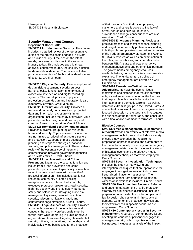### **Security Management Courses Department Code: SMGT**

**SMGT311 Introduction to Security.** The course includes a detailed review of the representative duties of the professionals engaged in private and public security. It focuses on the latest trends, concerns, and issues in the security industry today. This includes specific threat analysis, countermeasures, the security function, fundamentals of defense. The course will also provide an overview of the historical development of security. Credit 3 hours.

**SMGT315 Physical Security.** Examines physical design, risk assessment, security surveys, barriers, locks, lighting, alarms, entry control, closed circuit television and digital recording systems. The overall process of physical protection system design and integration is also extensively covered. Credit 3 hours. **SMGT320 Information Security.** Provides a framework for analyzing current and projected data and information exposure within an organization. Includes the study of firewalls, virus prevention techniques, network security and common forms of cyber crime. Credit 3 hours. **SMGT321 Homeland Security Fundamentals.**  Provides a diverse group of topics related to homeland security. Topics covered include, but are not limited to, critical infrastructure sectors and protection, weapons of mass destruction planning and response strategies, national security, and public management. There is also a review of the essential coordination and communication between government agencies and private entities. Credit 3 hours. **SMGT411 Loss Prevention and Crime Prevention.** Examines the security function and issues from a loss prevention and crime prevention perspective. It specifically shows how to avoid or minimize losses with a wealth of practical information. This includes, but is not limited to, community-oriented policing, workplace violence, internal theft controls, executive protection, awareness, retail security, high-rise security and fire life safety, personal safety and self defense, designing crime risk management systems, financial institution security, telecommunications fraud, and counterespionage strategies. Credit 3 hours. **SMGT415 Legal Aspects of Security.** Provides a thorough overview of the legal issues and concepts that security professionals must be familiar with while operating in public or private organizations. A review of legal rights available to security officers, corporations, partnerships, and individually owned businesses for the protection

of their property from theft by employees, customers and others is covered. The law of arrest, search and seizure, detention, surveillance and legal consequences are also examined. Credit 3 hours.

**SMGT420 Emergency Planning.** Provides a practical process of disaster response planning and mitigation for security professionals working in both public and private organizations. A review of the Federal Emergency Management Agency (FEMA) is covered as well as an examination of the roles, responsibilities, and interrelationship between FEMA, state and local emergency management systems and other critical partners. The government's emergency resources available before, during and after crises are also explained. The fundamental disciplines of emergency management are covered as well. Credit 3 hours.

**SMGT424 Terrorism—Motivations and Adversaries.** Reviews the events, ideas, motivations and histories that result in terrorist acts, as well as an examination of the theories that help explain this volatile behavior the international and domestic terrorism as well as domestic extremist groups in the United States. A conceptual overview of terrorism, progresses to a focused discussion of the terrorists, investigates the nuances of the terrorist trade, and concludes with a final analysis of modern terrorism. 3 hours.

### **Elective Courses**

**SMGT330 Media Management. (Recommend removal)**Provides an overview of effective media management techniques and includes a variety of case study scenarios that require the preparation of press releases and statements to the media for a variety of security and emergency management related events. Includes the study of historical events and the effective media management techniques that were employed. Credit 3 hours.

**SMGT335 Security Investigation Techniques.**  Includes the study of interviewing and interrogation techniques that are appropriate for employee investigations relating to business fraud, discrimination or harassment. The separation of fact from attribution relative to witness observations is included. Credit 3 hours. **SMGT 340 Fire Protection Systems.** Selection and ongoing management of a fire protection strategy for a business is discussed. Includes preparation of a master fire protection plan and facility design choices to minimize structural damage. Common fire protection devices and their effectiveness in specific scenarios are emphasized. Credit 3 hours.

**SMGT 430 Contemporary Issues in Security Management.** A survey of contemporary issues affecting the conduct of personnel engaged in managing security within organizations and businesses. Includes an analysis of the impact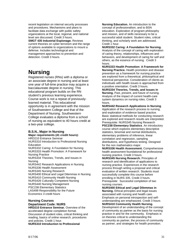recent legislation on internal security processes and procedures. Mechanisms and plans to facilitate data exchange with public safety organizations at the local, regional, and national level are discussed. Credit 3 hours. **SMGT 435 Industrial Espionage.** Reviews current theories on cyber terrorism and the range of options available to organizations to mount a defense. Includes technological and management approaches to prevention and detection. Credit 3 hours.

# **Nursing**

Registered nurses (RNs) with a diploma or an associate degree in nursing and at least one year of full-time practice may acquire a baccalaureate degree in nursing. This educational program builds on the RN student's previous learning experience. Course work is not a repeat of previouslylearned material. This educational opportunity is in agreement with the mission of Southwestern College and that of the Department of Nursing. Southwestern College evaluates a diploma from a school of nursing as equivalent to 40 hours credit at a two-year college.

# **B.S.N., Major in Nursing**

**Major requirements (41 credit hours):**  HRD210 Entrance Seminar NURS310 Introduction to Professional Nursing Education NURS332 Caring: A Foundation for Nursing NURS333 Health Promotion: A Framework for Nursing Practice NURS334 Theories, Trends, and Issues in Nursing NURS442 Research Applications in Nursing NURS336 Health Assessment NURS345 Nursing Research NURS400 Ethical and Legal Dilemmas in Nursing NURS410 Community Health Nursing NURS426 Culturally Competent Nursing NURS440 Nursing Management PSC238 Elementary Statistics LAS499 Responsibility for the Future Economics 3 credit hours

#### **Nursing Courses Department Code: NURS HRD210 Entrance Seminar.** Overview of the

accelerated degree completion format. Discussion of student roles, critical thinking and reading, basics of online research, procedures and policies. Credit 1 hour. **NURS310 Introduction to Professional** 

**Nursing Education.** An introduction to the concept of professionalism, and to BSN education. Exploration of program philosophy and mission, and of skills necessary to be a successful adult student. Student roles, critical thinking, and scholarly work are addressed. Credit 1 hour.

**NURS332 Caring: A Foundation for Nursing.**  Analysis of the concept of caring with exploration of caring theory, relationships, influences and behaviors, and development of caring for self and others, as the essence of nursing. Credit 3 hours.

**NURS333 Health Promotion: A Framework for Nursing Practice.** Health promotion and disease prevention as a framework for nursing practice are explored from a theoretical, philosophical and historical perspective. Consideration of clients as individuals with health issues is approached from a positive orientation. Credit 3 hours.

**NURS334 Theories, Trends, and Issues in Nursing.** Past, present, and future of nursing. Analysis of the impact of current health-care system dynamics on nursing roles. Credit 3 hours.

**NURS442 Research Applications in Nursing**. Application of the research process to nursing, and exploration of evidence based practice. Basic statistical methods for conducting research are explored and research results are interpreted. Prerequisite: NURS345 Nursing Research **PSC238 Elementary Statistics**. An introductory course which explores elementary descriptive statistics, binomial and normal distributions, elementary problems of inference, linear correlation and regression, sampling

distributions, and hypothesis testing. Designed for the non mathematics major.

**NURS336 Health Assessment.** Comprehensive health assessment foundational for professional nursing practice. Credit 3 hours.

**NURS345 Nursing Research.** Principles of research and identification of applications to nursing practice. Experiences in the research process through writing a proposal and critical evaluation of written research. Students must successfully complete this course before enrolling in NURS 335. Credit 3 hours. Prerequisite: Successful completion of two nursing courses.

**NURS400 Ethical and Legal Dilemmas in Nursing.** Ethical principles and legal issues associated with nursing and health care. Emphasis on personal introspection and selfunderstanding are emphasized. Credit 3 hours **NURS410 Community Health Nursing.** 

Development of an understanding of the concept of community as partner as the basis for nursing practice in and for the community. Emphasis is on theories critical to understanding the community as partner, the process of community as partner, and strategies for health promotion.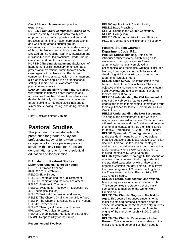Credit 3 hours: classroom and practicum experience.

**NURS426 Culturally Competent Nursing Care.** 

Cultural diversity, as well as universality are emphasized in comparing beliefs, values, and practices pertaining to health, care expressions, and well being among cultural groups.

Communication to convey mutual understanding of thoughts, feelings and actions is emphasized. Directed on-line reading, learning, interaction and individually scheduled practicum. Credit 3 hours: classroom and practicum experience.

**NURS440 Nursing Management.** Exploration of management skills necessary to function as a professional practitioner within today's healthcare organizational hierarchy. Practicum component includes observation of management skills as they are applied in an organizational setting. Credit 3 hours: classroom and practicum experience.

**LAS499 Responsibility for the Future**. Seniors with various majors will share learnings and approaches from their different disciplines toward dealing holistically with issues that shape the future, seeking to integrate disciplines and to synthesize knowing, caring, and doing. Credit 3 hours.

Note: Electives deleted Jan. 04

# **Pastoral Studies**

This program provides students with preparation for graduate study, for professional study, or for a wide range of occupations for those persons pursuing service within any Protestant Christian denomination and for further theological education and for ordination.

#### **B.A., Major in Pastoral Studies Major requirements (40 credit hours):**

HRD210 Entrance Seminar PHIL 225 Critical Thinking REL200 Bible Survey REL215 Understanding the Old Testament REL216 Understanding the New Testament REL301 Systematic Theology I REL302 Systematic Theology II (Replaces REL 402 Theological Issues) REL320 Pastoral Composition and Writing REL333 The Church: Origins to the Middle Ages REL334 The Church: Renaissance to the Present REL340 Hermeneutics REL401 Theological Systems and Issues (Replaces Theological Systems) REL415 Denominational Heritage and Structure LAS499 Responsibility for the Future

### **Recommended Electives**:

REL305 Applications in Youth Ministry REL325 Basic Preaching REL332 Caring in the Church Community REL420 Evangelism REL425 Church Administration and Finance PSC236 Comparative Religion and Philosophy

# **Pastoral Studies Courses Department Code: REL**

**PHIL225 Critical Thinking.** This course introduces students to critical thinking skills necessary to recognize various forms of argumentation regularly employed in philosophical and theological writings. It includes learning to recognize informal fallacies and developing skill in analyzing and summarizing arguments. Credit 3 hours.

**REL200 Bible Survey.** An introduction to the basic content of the Biblical books. The main objective of this course is to help students gain a solid overview and to discern major scriptural themes. Credit 3 hours.

**REL215 Understanding the Old Testament.** A study of the Hebrew scriptures seeking to understand them in their original context and thus their significance for today. Prerequisite: REL200. Credit 3 hours.

**REL216 Understanding the New Testament.**  The origin and development of the Christian religion as expressed in the New Testament. We will seek to understand the Christian scriptures in their original context and thus their significance for today. Prerequisite REL200. Credit 3 hours.

**REL301 Systematic Theology.** An introduction to the standard means by which theologians organize questions and ideas relative to Christian doctrine. This course focuses on theological method, i.e. the historical context and conceptual tools necessary for a systematic approach to thinking theologically. Credit 3 hours.

**REL302 Systematic Theology II.** The second of a series of two courses introducing students to the standard categories by which theologians organize Christian thought. This course surveys the main categories of Christian theology from the Trinity to eschatology. Pre-requisite, REL 301. Credit 3 hours.

**REL320 Pastoral Composition and Writing.**  Ministry requires sound communication skills. This course takes the student beyond basic competency to mastery of the written word. Credit 3 hours.

**REL333 The Church: Origins to the Middle Ages.** This course introduces students to the major events and personalities that helped to shape the church in the West, especially in terms of its basic doctrines and practices, from the origins of the church to roughly 1300. Credit 3 hours.

**REL334 The Church: Renaissance to the Present.** This course introduces students to the major events and personalities that helped to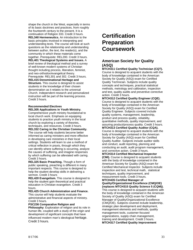shape the church in the West, especially in terms of its basic doctrines and practices, from roughly the fourteenth century to the present. It is a continuation of Religion 333. Credit 3 hours. **REL340 Hermeneutics.** An introduction to the basic principles involved in interpreting and understanding texts. The course will look at such questions as the relationship and understanding between author, the text, the reader(s), and the community in which these materials come together. Prerequisite: REL200. Credit 3 hours. **REL401 Theological Systems and Issues.** A brief review of theological method and a survey of well-known modern systems of Christian thought including process, liberation, feminist, and neo-orthodox/evangelical theory. Prerequisite: REL301 and 302. Credit 3 hours. **REL415 Denominational Heritage and Structure.** This course is designed to assist students in the knowledge of their chosen denomination as it relates to the universal Church. Independent research and personalized instruction will be part of the learning process. Credit 3 hours.

### **Recommended Electives REL305 Applications in Youth Ministry.**

Comprehensive youth ministry foundational to local church work. Emphasis on equipping students to practice youth ministry in the local church by exploring a variety of theories, techniques, and resources. Credit 3 hours.

**REL332 Caring in the Christian Community.**  The course will help students become better informed as caring ministers and more effective in developing care ministries in their local settings. Students will learn to use a method of critical reflection in praxis, through which they can identify where suffering is occurring, analyze the causes of suffering, and imagine responses by which suffering can be alleviated with caring. Credit 3 hours.

**REL325 Basic Preaching.** Though a form of public speaking, preaching is different in many important respects. This course is designed to help the student develop skills in delivering a sermon. Credit 3 hours

**REL420 Evangelism.** This course is designed to help the student gain theoretical and practical education in Christian evangelism. Credit 3 hours.

**REL425 Church Administration and Finance.**  This course will help students evaluate the administrative and financial aspects of ministry. Credit 3 hours.

**PSC236 Comparative Religion and**

**Philosophy**: Exploration of religion and its role in human life, coupled with a study of the origin and development of significant concepts that have influenced modern man's ideological heritage. Credit 3 hours.

# **Certification Preparation Coursework**

# **American Society for Quality (ASQ)**

**MTCH311 Certified Quality Technician (CQT).**  Course is designed to acquaint students with the body of knowledge contained in the American Society for Quality (ASQ) exam for Certified Quality Technician. Subjects include quality concepts and techniques, practical statistical methods, metrology and calibration, inspection and test, quality audits and preventive corrective action. Credit 3 hours.

**MTCH312 Certified Quality Engineer (CQE).**  Course is designed to acquaint students with the body of knowledge contained in the American Society for Quality (ASQ) exam for Certified Quality Engineer. Subjects covered include quality systems, management, leadership, product and process quality, reliability, quantitative methods, quality improvement, and assuring product/process quality. Credit 3 hours. **MTCH313 Certified Quality Auditor (CQA).**  Course is designed to acquaint students with the body of knowledge contained in the American Society for Quality (ASQ) exam for Certified Quality Auditor. Subjects include auditor skills and conduct, audit reporting, planning and conducting an audit, audit program management, and corrective action. Credit 3 hours. **MTCH314 Certified Mechanical Inspector** 

**(CMI).** Course is designed to acquaint students with the body of knowledge contained in the American Society for Quality (ASQ) exam for Certified Mechanical Inspector. Subjects include inspection and test, technical math, statistical techniques, quality improvement, and measurement tools. Credit 3 hours.

**MTCH435 Certified Manager of Quality/Organizational Excellence (CMQ/OE) (replaces MTCH315 Quality Science 5 (CQM)).**  This course is designed to acquaint students with the body of knowledge contained in the American Society of Quality (ASQ) exam for Certified Manager of Quality/Organizational Excellence (CMQ/OE). Subjects covered include leadership, strategic plan development and deployment, management elements and methods, quality management tools, customer-focused organizations, supply chain management, training and development. Credit 3 hours. **MTCH317 Certified Quality Improvement**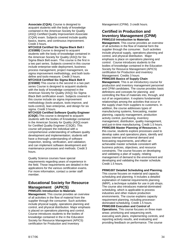**Associate (CQIA).** Course is designed to acquaint students with the body of knowledge contained in the American Society for Quality (ASQ) Certified Quality Improvement Associate (CQIA) exam. Subjects covered include quality basics, teams, and continuous improvement. Credit 3 hours.

**MTCH318 Certified Six Sigma Black Belt I (CSSBB)** Course is designed to acquaint students with the body of knowledge contained in the American Society for Quality (ASQ) for Six Sigma Black Belt exam. This course is the first in a two part series. Subjects covered in this course include enterprise-wide deployment, business process management, project management, six sigma improvement methodology, and both toolsdefine and tools-measure. Credit 3 hours.

**MTCH319 Certified Six Sigma Black Belt II (CSSBB)** This course is the second in a two part series Course is designed to acquaint students with the body of knowledge contained in the American Society for Quality (ASQ) Six Sigma Black Belt certification exam. Subjects covered in this course include six sigma improvement methodology (tools-analyze, tools-improve, and tools-control), lean enterprise, and design for six sigma. Credit 3 hours.

**MTCH320 Certified Software Quality Engineer (CSQE**).This course is designed to acquaint students with the bodies of Knowledge contained in the American Society for Quality (ASQ) exam for Certified Quality Engineer (CSQE). This course will prepare the individual with a comprehensive understanding of software quality development and implementation; students will have a thorough understanding of software inspection, testing, verification, and validation; and can implement software development and maintenance processes and methods. Credit 3 hours.

Quality Science courses have special requirements regarding years of experience in the field. Those requirements are detailed in the applications for the various certification exams. For more information, contact a center staff member.

### **Educational Society for Resource Management (APICS) PRMG201 Introduction to Materials**

**Management.** This course provides an overview of all activities in the flow of material from the supplier through the consumer. Such activities include physical supply, operations planning and control, and physical distribution. Major emphasis is placed on operations planning and control. Course introduces students to the bodies of knowledge contained in the in the Education Society for Resource Management (APICS) certification for Production and Inventory

Management (CPIM). 3 credit hours.

### **Certified in Production and Inventory Management (CPIM) PRMG210 Introduction to Materials**

**Management.** This course provides an overview of all activities in the flow of material form the supplier through the consumer. Such activities include physical supply, operations planning and control, and physical distribution. Major emphasis is place on operations planning and control. Course introduces students to the bodies of knowledge contained in the Education Society for Resource Management (APICS) certification for Production and inventory Management. Credits 3 hours

**PRMG305 Basics of Supply Chain**

**Management.** This is an introductory course for production and inventory management personnel and CPIM candidates. The course provides basic definitions and concepts for planning and controlling the flow of materials into, through, and out of an organization. It explains fundamental relationships among the activities that occur in the supply chain from suppliers to customers. In addition, the course addresses types of manufacturing systems, forecasting, master planning, capacity management, production activity control, purchasing, inventory management, distribution, quality management, and just-in-time manufacturing. Credit 1.5 hours. **PRMG306 Master Planning of Resources.** In this course, students explore processes used to develop sales and operations plans, identify and assess internal and external demand and forecasting requirements, and effect an achievable master schedule consistent with business policies, objectives, and resource constraints. The course focuses on developing and validating a plan of supply, relating management of demand to the environment and developing and validating the master schedule. Credit 1.5 hours.

**PRMG307 Detailed Scheduling and Planning.**

This course focuses on material and capacity scheduling and planning. It includes a detailed explanation of material requirements planning (MRP), a technique suitable for use in job shops. The course also introduces material-dominated scheduling, which is applicable to process industries and other mature production environments. The course explains capacity requirement planning, including processordominated scheduling. Credit 1.5 hours. **PRMG308 Execution and Control of Operations.** This course focuses on three main areas: prioritizing and sequencing work, executing work plans, implementing controls, and reporting activity results, and evaluating and providing feedback on performance. The course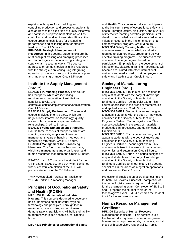explains techniques for scheduling and controlling production and process operations. It also addresses the execution of quality initiatives and continuous improvement plans as well as controlling and handling inventories. Finally, the course presents techniques for evaluating performance and collecting data for effective feedback. Credit 1.5 hours.

### **PRMG309 Strategic Management of**

**Resources.** In this course, students explore the relationship of existing and emerging processes and technologies to manufacturing strategy and supply chain related functions. The course addresses three main topics: aligning resources with the strategic plan, configuring integrating operation processes to support the strategic plan, and implementing change. Credit 1.5 hours.

# **Institute for Supply Management (ISM™)**

**BSAD301 Purchasing Process.** This course has four parts, which are identifying requirements, preparation of solicitations, supplier analysis, and

contract/execution/implementation/administration**.**  Credit 1.5 hours.

**BSAD302 Supply Environment.** The second course is divided into five parts, which are negotiations, information technology, quality issues, internal relationships, and external relationships. Credit 1.5 hours.

#### **BSAD303 Value Enhancement Strategies.** Course three consists of four parts, which are sourcing analysis, supply and inventory management, value enhancing methods, and forecasting strategies. Credit 1.5 hours.

**BSAD304 Management for Purchasing Managers.** The fourth course has two parts, which are management and organization, and human resources management. Credit 1.5 hours.

BSAD301, and 302 prepare the student for the \*APP exam. BSAD 303 and 304 when combined with successful completion of the APP will prepare students for the \*\*CPM exam.

 \*APP=Accredited Purchasing Practitioner \*\*CPM=Certified Purchasing Manager

# **Principles of Occupational Safety and Health (POSH)**

**MTCH332 Fundamentals of Industrial Hygiene.** This course is designed to develop a basic understanding of industrial hygiene terminology and principles. Through lecture, workshops, case studies, and equipment demonstrations, participants will build their ability to address workplace health issues. Credit 3 hours.

### **MTCH333 Principles of Occupational Safety**

**and Health.** This course introduces participants to the basic principles of occupational safety and health. Through lecture, discussion, and a variety of interactive learning activities, participants will develop the knowledge and skills needed to be a valuable resource in the implementation of a company safety program. Credit 3 hours. **MTCH334 Safety Training Methods.** This course focuses on the knowledge and skills required to plan, organize, create, and deliver effective training programs. The success of this course is, to a large degree, based on participation. Emphasis is on the development of instructor led/ classroom training. Participants will become acquainted with other instructional methods and media used to train employees on safety and health issues. Credit 3 hours.

# **Society of Manufacturing Engineers (SME)**

**MTCH305 SME 1.** First in a series designed to acquaint students with the body of knowledge contained in the Society of Manufacturing Engineers Certified Technologist exam. This course specializes in the areas of mathematics and applied science. Credit 3 hours.

**MTCH306 SME 2.** Second in a series designed to acquaint students with the body of knowledge contained in the Society of Manufacturing Engineers Certified Technologist exam. This course specializes in the areas of materials, product design, processes, and quality control. Credit 3 hours.

**MTCH307 SME 3.** Third in a series designed to acquaint students with the body of knowledge contained in the Society of Manufacturing Engineers Certified Technologist exam. This course specializes in the areas of management, economics, and automation. Credit 3 hours. **MTCH308 SME 4.** Fourth in a series designed to acquaint students with the body of knowledge contained in the Society of Manufacturing Engineers Certified Engineer exam. This course specializes in the areas of integration operations, and processes. Credit 3 hours.

Professional Studies is an accredited testing site for both SME exams. Successful completion of the technologist exams is required before sitting for the engineering exam. Completion of SME 1,2 and 3 prepares the student to sit for the technologist's exam. SME 4 prepares the student to sit for the engineer's exam.

# **Human Resource Management Certificate**

HRD326 Essential of Human Resource Management certificate – This certificate is a flexible introductory-level course for entry-level human resource professionals, managers, and all those with supervisory responsibility. Topics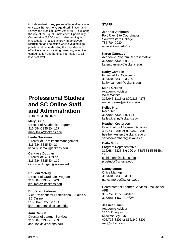include reviewing key pieces of federal legislation on sexual harassment, age discrimination and Family and Medical Leave Act (FMLA), exploring the role of the Equal Employment Opportunity Commission (EEOC) and understanding its investigation process, improving employee recruitment and selection while avoiding legal pitfalls, and understanding the importance of effectively communicating base pay, incentive compensation and benefits information to all levels of staff.

# **Professional Studies and SC Online Staff and Administration ADMINISTRATION**

# **Mary Bulla**

Director of Academic Programs 316/684-5335 Ext 117 mary.bulla@sckans.edu

### **Linda Bussman**

Director of Enrollment Management 316/684-5335 Ext 214 linda.bussman@sckans.edu

### **Candyce Duggan**

Director of SC Online 316/684-5335 Ext 112 candyce.duggan@sckans.edu

### **Dr. Jeni McRay**

Director of Graduate Programs 316.684.5335 ext 203 jeni.mcray@sckans.edu

### **Dr. Karen Pedersen**

Vice-President for Professional Studies & SC Online 316/684-5335 Ext 114 karen.pederse@sckans.edu

### **Joni Rankin**

Director of Learner Services 316.684.5335 ext 213 Joni.rankin@sckans.edu

### **STAFF**

### **Jennifer Atkinson**

Fort Riley Site Coordinator Southwestern College 785-784-9930 www.sckans.edu/ps

### **Karen Cannady**

Academic Program Representative 316/684-5335 Ext 101 karen.cannady@sckans.edu

### **Kathy Camden**

Financial Aid Counselor 316/684-5335 Ext 209 kathy.camden@sckans.edu

### **Marie Greene**

Academic Advisor West Wichita 316/946-1116 or 800/813-4378 marie.greene@sckans.edu

**Kelley Krahn**  Recruiter 316/684-5335 Ext. 124 kelley.krahn@sckans.edu

### **Heather Kesterson**

Coordinator of Learner Services 405/733-3301 or 866/342-3301 heather.kesters@sckans.edu or servicemembers@sckans.edu

### **Cathi Mohr**

Program Representative 316/684-5335 Ext 120 or 888/684-5335 Ext 120 cathi.mohr@sckans.edu or prostudy@sckans.edu

### **Nancy Morse**

Office Manager 316/684-5335 Ext 111 nancy.morse@sckans.edu

Coordinator of Learner Services - McConnell AFB 316/759-4172 - *Military*  316/681-1467 - *Civilian*

### **Jessica Sikich**

Academic Advisor 114 S Douglas Midwest City, OK 405/733-3301 or 866/342-3301 okc@sckans.edu